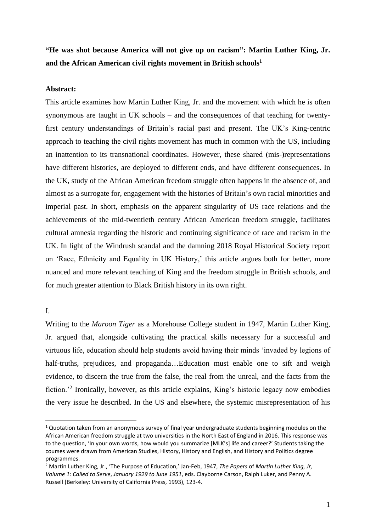**"He was shot because America will not give up on racism": Martin Luther King, Jr. and the African American civil rights movement in British schools<sup>1</sup>**

### **Abstract:**

This article examines how Martin Luther King, Jr. and the movement with which he is often synonymous are taught in UK schools – and the consequences of that teaching for twentyfirst century understandings of Britain's racial past and present. The UK's King-centric approach to teaching the civil rights movement has much in common with the US, including an inattention to its transnational coordinates. However, these shared (mis-)representations have different histories, are deployed to different ends, and have different consequences. In the UK, study of the African American freedom struggle often happens in the absence of, and almost as a surrogate for, engagement with the histories of Britain's own racial minorities and imperial past. In short, emphasis on the apparent singularity of US race relations and the achievements of the mid-twentieth century African American freedom struggle, facilitates cultural amnesia regarding the historic and continuing significance of race and racism in the UK. In light of the Windrush scandal and the damning 2018 Royal Historical Society report on 'Race, Ethnicity and Equality in UK History,' this article argues both for better, more nuanced and more relevant teaching of King and the freedom struggle in British schools, and for much greater attention to Black British history in its own right.

## I.

Writing to the *Maroon Tiger* as a Morehouse College student in 1947, Martin Luther King, Jr. argued that, alongside cultivating the practical skills necessary for a successful and virtuous life, education should help students avoid having their minds 'invaded by legions of half-truths, prejudices, and propaganda…Education must enable one to sift and weigh evidence, to discern the true from the false, the real from the unreal, and the facts from the fiction.<sup>2</sup> Ironically, however, as this article explains, King's historic legacy now embodies the very issue he described. In the US and elsewhere, the systemic misrepresentation of his

 $1$  Quotation taken from an anonymous survey of final year undergraduate students beginning modules on the African American freedom struggle at two universities in the North East of England in 2016. This response was to the question, 'In your own words, how would you summarize [MLK's] life and career?' Students taking the courses were drawn from American Studies, History, History and English, and History and Politics degree programmes.

<sup>2</sup> Martin Luther King, Jr., 'The Purpose of Education,' Jan-Feb, 1947, *The Papers* of *Martin Luther King, Jr, Volume 1: Called to Serve*, *January 1929 to June 1951*, eds. Clayborne Carson, Ralph Luker, and Penny A. Russell (Berkeley: University of California Press, 1993), 123-4.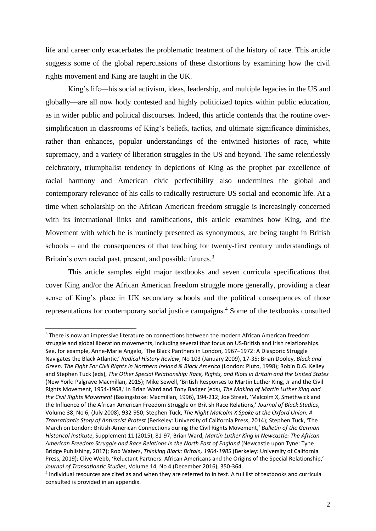life and career only exacerbates the problematic treatment of the history of race. This article suggests some of the global repercussions of these distortions by examining how the civil rights movement and King are taught in the UK.

King's life—his social activism, ideas, leadership, and multiple legacies in the US and globally—are all now hotly contested and highly politicized topics within public education, as in wider public and political discourses. Indeed, this article contends that the routine oversimplification in classrooms of King's beliefs, tactics, and ultimate significance diminishes, rather than enhances, popular understandings of the entwined histories of race, white supremacy, and a variety of liberation struggles in the US and beyond. The same relentlessly celebratory, triumphalist tendency in depictions of King as the prophet par excellence of racial harmony and American civic perfectibility also undermines the global and contemporary relevance of his calls to radically restructure US social and economic life. At a time when scholarship on the African American freedom struggle is increasingly concerned with its international links and ramifications, this article examines how King, and the Movement with which he is routinely presented as synonymous, are being taught in British schools – and the consequences of that teaching for twenty-first century understandings of Britain's own racial past, present, and possible futures.<sup>3</sup>

This article samples eight major textbooks and seven curricula specifications that cover King and/or the African American freedom struggle more generally, providing a clear sense of King's place in UK secondary schools and the political consequences of those representations for contemporary social justice campaigns.<sup>4</sup> Some of the textbooks consulted

<sup>&</sup>lt;sup>3</sup> There is now an impressive literature on connections between the modern African American freedom struggle and global liberation movements, including several that focus on US-British and Irish relationships. See, for example, Anne-Marie Angelo, 'The Black Panthers in London, 1967–1972: A Diasporic Struggle Navigates the Black Atlantic,' *Radical History Review*, No 103 (January 2009), 17-35; Brian Dooley, *Black and Green: The Fight For Civil Rights in Northern Ireland & Black America* (London: Pluto, 1998); Robin D.G. Kelley and Stephen Tuck (eds), *The Other Special Relationship: Race, Rights, and Riots in Britain and the United States* (New York: Palgrave Macmillan, 2015); Mike Sewell, 'British Responses to Martin Luther King, Jr and the Civil Rights Movement, 1954-1968,' in Brian Ward and Tony Badger (eds), *The Making of Martin Luther King and the Civil Rights Movement* (Basingstoke: Macmillan, 1996), 194-212; Joe Street, 'Malcolm X, Smethwick and the Influence of the African American Freedom Struggle on British Race Relations,' *Journal of Black Studies*, Volume 38, No 6, (July 2008), 932-950; Stephen Tuck, *The Night Malcolm X Spoke at the Oxford Union: A Transatlantic Story of Antiracist Protest* (Berkeley: University of California Press, 2014); Stephen Tuck, 'The March on London: British-American Connections during the Civil Rights Movement,' *Bulletin of the German Historical Institute*, Supplement 11 (2015), 81-97; Brian Ward, *Martin Luther King in Newcastle: The African American Freedom Struggle and Race Relations in the North East of England* (Newcastle upon Tyne: Tyne Bridge Publishing, 2017); Rob Waters, *Thinking Black: Britain, 1964-1985* (Berkeley: University of California Press, 2019); Clive Webb, 'Reluctant Partners: African Americans and the Origins of the Special Relationship,' *Journal of Transatlantic Studies*, Volume 14, No 4 (December 2016), 350-364.

<sup>4</sup> Individual resources are cited as and when they are referred to in text. A full list of textbooks and curricula consulted is provided in an appendix.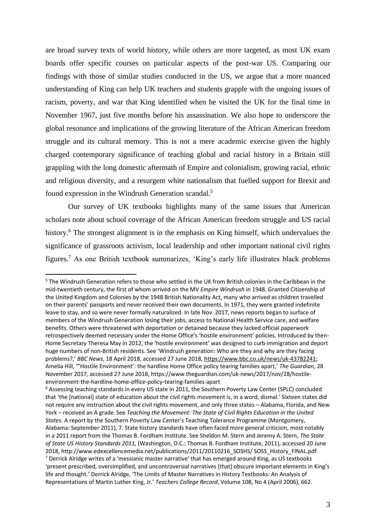are broad survey texts of world history, while others are more targeted, as most UK exam boards offer specific courses on particular aspects of the post-war US. Comparing our findings with those of similar studies conducted in the US, we argue that a more nuanced understanding of King can help UK teachers and students grapple with the ongoing issues of racism, poverty, and war that King identified when he visited the UK for the final time in November 1967, just five months before his assassination. We also hope to underscore the global resonance and implications of the growing literature of the African American freedom struggle and its cultural memory. This is not a mere academic exercise given the highly charged contemporary significance of teaching global and racial history in a Britain still grappling with the long domestic aftermath of Empire and colonialism, growing racial, ethnic and religious diversity, and a resurgent white nationalism that fuelled support for Brexit and found expression in the Windrush Generation scandal.<sup>5</sup>

Our survey of UK textbooks highlights many of the same issues that American scholars note about school coverage of the African American freedom struggle and US racial history.<sup>6</sup> The strongest alignment is in the emphasis on King himself, which undervalues the significance of grassroots activism, local leadership and other important national civil rights figures. <sup>7</sup> As one British textbook summarizes, 'King's early life illustrates black problems

<sup>5</sup> The Windrush Generation refers to those who settled in the UK from British colonies in the Caribbean in the mid-twentieth century, the first of whom arrived on the MV *Empire Windrush* in 1948. Granted Citizenship of the United Kingdom and Colonies by the 1948 British Nationality Act, many who arrived as children travelled on their parents' passports and never received their own documents. In 1971, they were granted indefinite leave to stay, and so were never formally naturalized. In late Nov. 2017, news reports began to surface of members of the Windrush Generation losing their jobs, access to National Health Service care, and welfare benefits. Others were threatened with deportation or detained because they lacked official paperwork retrospectively deemed necessary under the Home Office's 'hostile environment' policies. Introduced by then-Home Secretary Theresa May in 2012, the 'hostile environment' was designed to curb immigration and deport huge numbers of non-British residents. See 'Windrush generation: Who are they and why are they facing problems?,' *BBC News*, 18 April 2018, accessed 27 June 2018[, https://www.bbc.co.uk/news/uk-43782241;](https://www.bbc.co.uk/news/uk-43782241) Amelia Hill, '"Hostile Environment': the hardline Home Office policy tearing families apart,' *The Guardian*, 28 November 2017, accessed 27 June 2018, https://www.theguardian.com/uk-news/2017/nov/28/hostileenvironment-the-hardline-home-office-policy-tearing-families-apart

<sup>6</sup> Assessing teaching standards in every US state in 2011, the Southern Poverty Law Center (SPLC) concluded that 'the [national] state of education about the civil rights movement is, in a word, dismal.' Sixteen states did not require any instruction about the civil rights movement, and only three states – Alabama, Florida, and New York – received an A grade. See *Teaching the Movement: The State of Civil Rights Education in the United States*. A report by the Southern Poverty Law Center's Teaching Tolerance Programme (Montgomery, Alabama: September 2011), 7. State history standards have often faced more general criticism, most notably in a 2011 report from the Thomas B. Fordham Institute. See Sheldon M. Stern and Jeremy A. Stern, *The State of State US History Standards 2011,* (Washington, D.C.: Thomas B. Fordham Institute, 2011), accessed 20 June 2018, http://www.edexcellencemedia.net/publications/2011/20110216\_SOSHS/ SOSS\_History\_FINAL.pdf. <sup>7</sup> Derrick Alridge writes of a 'messianic master narrative' that has emerged around King, as US textbooks 'present prescribed, oversimplified, and uncontroversial narratives [that] obscure important elements in King's life and thought.' Derrick Alridge, 'The Limits of Master Narratives in History Textbooks: An Analysis of Representations of Martin Luther King, Jr.' *Teachers College Record*, Volume 108, No 4 (April 2006), 662.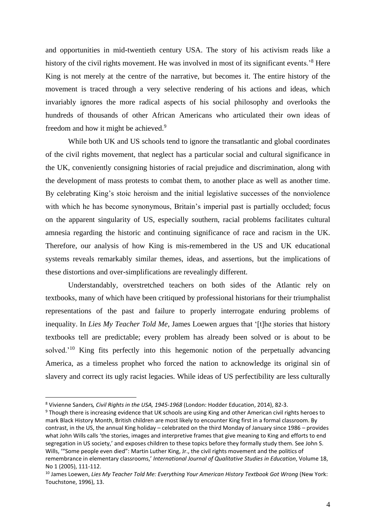and opportunities in mid-twentieth century USA. The story of his activism reads like a history of the civil rights movement. He was involved in most of its significant events.'<sup>8</sup> Here King is not merely at the centre of the narrative, but becomes it. The entire history of the movement is traced through a very selective rendering of his actions and ideas, which invariably ignores the more radical aspects of his social philosophy and overlooks the hundreds of thousands of other African Americans who articulated their own ideas of freedom and how it might be achieved.<sup>9</sup>

While both UK and US schools tend to ignore the transatlantic and global coordinates of the civil rights movement, that neglect has a particular social and cultural significance in the UK, conveniently consigning histories of racial prejudice and discrimination, along with the development of mass protests to combat them, to another place as well as another time. By celebrating King's stoic heroism and the initial legislative successes of the nonviolence with which he has become synonymous, Britain's imperial past is partially occluded; focus on the apparent singularity of US, especially southern, racial problems facilitates cultural amnesia regarding the historic and continuing significance of race and racism in the UK. Therefore, our analysis of how King is mis-remembered in the US and UK educational systems reveals remarkably similar themes, ideas, and assertions, but the implications of these distortions and over-simplifications are revealingly different.

Understandably, overstretched teachers on both sides of the Atlantic rely on textbooks, many of which have been critiqued by professional historians for their triumphalist representations of the past and failure to properly interrogate enduring problems of inequality. In *Lies My Teacher Told Me*, James Loewen argues that '[t]he stories that history textbooks tell are predictable; every problem has already been solved or is about to be solved.<sup>'10</sup> King fits perfectly into this hegemonic notion of the perpetually advancing America, as a timeless prophet who forced the nation to acknowledge its original sin of slavery and correct its ugly racist legacies. While ideas of US perfectibility are less culturally

<sup>8</sup> Vivienne Sanders*, Civil Rights in the USA, 1945-1968* (London: Hodder Education, 2014), 82-3.

<sup>9</sup> Though there is increasing evidence that UK schools are using King and other American civil rights heroes to mark Black History Month, British children are most likely to encounter King first in a formal classroom. By contrast, in the US, the annual King holiday – celebrated on the third Monday of January since 1986 – provides what John Wills calls 'the stories, images and interpretive frames that give meaning to King and efforts to end segregation in US society,' and exposes children to these topics before they formally study them. See John S. Wills, '"Some people even died": Martin Luther King, Jr., the civil rights movement and the politics of remembrance in elementary classrooms,' *International Journal of Qualitative Studies in Education*, Volume 18, No 1 (2005), 111-112.

<sup>10</sup> James Loewen, *Lies My Teacher Told Me: Everything Your American History Textbook Got Wrong* (New York: Touchstone, 1996), 13.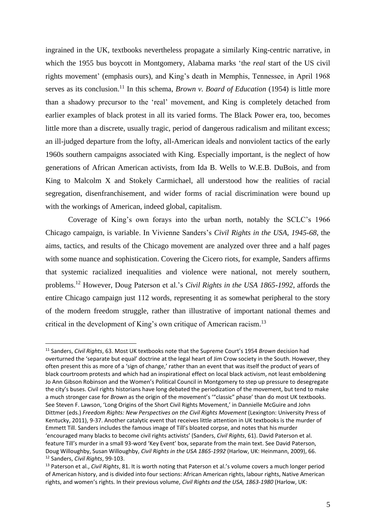ingrained in the UK, textbooks nevertheless propagate a similarly King-centric narrative, in which the 1955 bus boycott in Montgomery, Alabama marks 'the *real* start of the US civil rights movement' (emphasis ours), and King's death in Memphis, Tennessee, in April 1968 serves as its conclusion.<sup>11</sup> In this schema, *Brown v. Board of Education* (1954) is little more than a shadowy precursor to the 'real' movement, and King is completely detached from earlier examples of black protest in all its varied forms. The Black Power era, too, becomes little more than a discrete, usually tragic, period of dangerous radicalism and militant excess; an ill-judged departure from the lofty, all-American ideals and nonviolent tactics of the early 1960s southern campaigns associated with King. Especially important, is the neglect of how generations of African American activists, from Ida B. Wells to W.E.B. DuBois, and from King to Malcolm X and Stokely Carmichael, all understood how the realities of racial segregation, disenfranchisement, and wider forms of racial discrimination were bound up with the workings of American, indeed global, capitalism.

Coverage of King's own forays into the urban north, notably the SCLC's 1966 Chicago campaign, is variable. In Vivienne Sanders's *Civil Rights in the USA, 1945-68*, the aims, tactics, and results of the Chicago movement are analyzed over three and a half pages with some nuance and sophistication. Covering the Cicero riots, for example, Sanders affirms that systemic racialized inequalities and violence were national, not merely southern, problems.<sup>12</sup> However, Doug Paterson et al.'s *Civil Rights in the USA 1865-1992*, affords the entire Chicago campaign just 112 words, representing it as somewhat peripheral to the story of the modern freedom struggle, rather than illustrative of important national themes and critical in the development of King's own critique of American racism.<sup>13</sup>

<sup>11</sup> Sanders, *Civil Rights*, 63. Most UK textbooks note that the Supreme Court's 1954 *Brown* decision had overturned the 'separate but equal' doctrine at the legal heart of Jim Crow society in the South. However, they often present this as more of a 'sign of change,' rather than an event that was itself the product of years of black courtroom protests and which had an inspirational effect on local black activism, not least emboldening Jo Ann Gibson Robinson and the Women's Political Council in Montgomery to step up pressure to desegregate the city's buses. Civil rights historians have long debated the periodization of the movement, but tend to make a much stronger case for *Brown* as the origin of the movement's '"classic" phase' than do most UK textbooks. See Steven F. Lawson, 'Long Origins of the Short Civil Rights Movement,' in Dannielle McGuire and John Dittmer (eds.) *Freedom Rights: New Perspectives on the Civil Rights Movement* (Lexington: University Press of Kentucky, 2011), 9-37. Another catalytic event that receives little attention in UK textbooks is the murder of Emmett Till. Sanders includes the famous image of Till's bloated corpse, and notes that his murder 'encouraged many blacks to become civil rights activists' (Sanders, *Civil Rights*, 61). David Paterson et al. feature Till's murder in a small 93-word 'Key Event' box, separate from the main text. See David Paterson, Doug Willoughby, Susan Willoughby, *Civil Rights in the USA 1865-1992* (Harlow, UK: Heinmann, 2009), 66. <sup>12</sup> Sanders, *Civil Rights*, 99-103.

<sup>13</sup> Paterson et al., *Civil Rights*, 81. It is worth noting that Paterson et al.'s volume covers a much longer period of American history, and is divided into four sections: African American rights, labour rights, Native American rights, and women's rights. In their previous volume, *Civil Rights and the USA, 1863-1980* (Harlow, UK: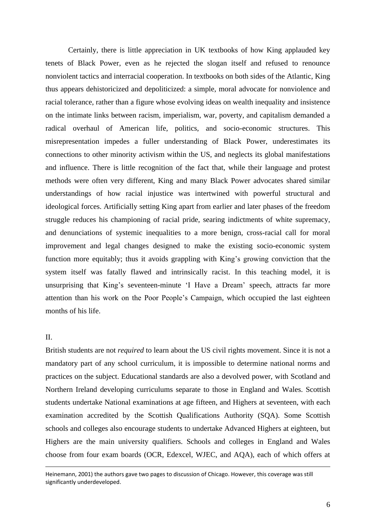Certainly, there is little appreciation in UK textbooks of how King applauded key tenets of Black Power, even as he rejected the slogan itself and refused to renounce nonviolent tactics and interracial cooperation. In textbooks on both sides of the Atlantic, King thus appears dehistoricized and depoliticized: a simple, moral advocate for nonviolence and racial tolerance, rather than a figure whose evolving ideas on wealth inequality and insistence on the intimate links between racism, imperialism, war, poverty, and capitalism demanded a radical overhaul of American life, politics, and socio-economic structures. This misrepresentation impedes a fuller understanding of Black Power, underestimates its connections to other minority activism within the US, and neglects its global manifestations and influence. There is little recognition of the fact that, while their language and protest methods were often very different, King and many Black Power advocates shared similar understandings of how racial injustice was intertwined with powerful structural and ideological forces. Artificially setting King apart from earlier and later phases of the freedom struggle reduces his championing of racial pride, searing indictments of white supremacy, and denunciations of systemic inequalities to a more benign, cross-racial call for moral improvement and legal changes designed to make the existing socio-economic system function more equitably; thus it avoids grappling with King's growing conviction that the system itself was fatally flawed and intrinsically racist. In this teaching model, it is unsurprising that King's seventeen-minute 'I Have a Dream' speech, attracts far more attention than his work on the Poor People's Campaign, which occupied the last eighteen months of his life.

## II.

British students are not *required* to learn about the US civil rights movement. Since it is not a mandatory part of any school curriculum, it is impossible to determine national norms and practices on the subject. Educational standards are also a devolved power, with Scotland and Northern Ireland developing curriculums separate to those in England and Wales. Scottish students undertake National examinations at age fifteen, and Highers at seventeen, with each examination accredited by the Scottish Qualifications Authority (SQA). Some Scottish schools and colleges also encourage students to undertake Advanced Highers at eighteen, but Highers are the main university qualifiers. Schools and colleges in England and Wales choose from four exam boards (OCR, Edexcel, WJEC, and AQA), each of which offers at

Heinemann, 2001) the authors gave two pages to discussion of Chicago. However, this coverage was still significantly underdeveloped.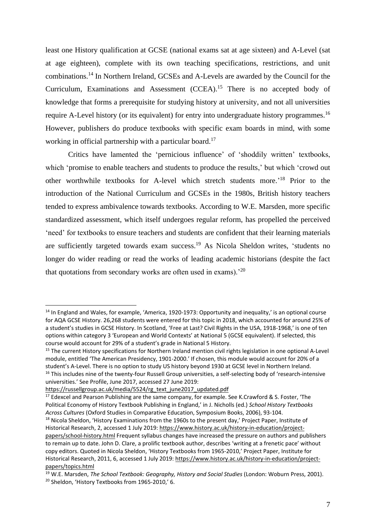least one History qualification at GCSE (national exams sat at age sixteen) and A-Level (sat at age eighteen), complete with its own teaching specifications, restrictions, and unit combinations.<sup>14</sup> In Northern Ireland, GCSEs and A-Levels are awarded by the Council for the Curriculum, Examinations and Assessment (CCEA).<sup>15</sup> There is no accepted body of knowledge that forms a prerequisite for studying history at university, and not all universities require A-Level history (or its equivalent) for entry into undergraduate history programmes.<sup>16</sup> However, publishers do produce textbooks with specific exam boards in mind, with some working in official partnership with a particular board.<sup>17</sup>

Critics have lamented the 'pernicious influence' of 'shoddily written' textbooks, which 'promise to enable teachers and students to produce the results,' but which 'crowd out other worthwhile textbooks for A-level which stretch students more.' <sup>18</sup> Prior to the introduction of the National Curriculum and GCSEs in the 1980s, British history teachers tended to express ambivalence towards textbooks. According to W.E. Marsden, more specific standardized assessment, which itself undergoes regular reform, has propelled the perceived 'need' for textbooks to ensure teachers and students are confident that their learning materials are sufficiently targeted towards exam success.<sup>19</sup> As Nicola Sheldon writes, 'students no longer do wider reading or read the works of leading academic historians (despite the fact that quotations from secondary works are often used in exams).<sup>'20</sup>

<sup>&</sup>lt;sup>14</sup> In England and Wales, for example, 'America, 1920-1973: Opportunity and inequality,' is an optional course for AQA GCSE History. 26,268 students were entered for this topic in 2018, which accounted for around 25% of a student's studies in GCSE History. In Scotland, 'Free at Last? Civil Rights in the USA, 1918-1968,' is one of ten options within category 3 'European and World Contexts' at National 5 (GCSE equivalent). If selected, this course would account for 29% of a student's grade in National 5 History.

<sup>&</sup>lt;sup>15</sup> The current History specifications for Northern Ireland mention civil rights legislation in one optional A-Level module, entitled 'The American Presidency, 1901-2000.' If chosen, this module would account for 20% of a student's A-Level. There is no option to study US history beyond 1930 at GCSE level in Northern Ireland. <sup>16</sup> This includes nine of the twenty-four Russell Group universities, a self-selecting body of 'research-intensive universities.' See Profile, June 2017, accessed 27 June 2019:

[https://russellgroup.ac.uk/media/5524/rg\\_text\\_june2017\\_updated.pdf](https://russellgroup.ac.uk/media/5524/rg_text_june2017_updated.pdf)

 $17$  Edexcel and Pearson Publishing are the same company, for example. See K.Crawford & S. Foster, 'The Political Economy of History Textbook Publishing in England,' in J. Nicholls (ed.) *School History Textbooks Across Cultures* (Oxford Studies in Comparative Education, Symposium Books, 2006), 93-104. <sup>18</sup> Nicola Sheldon, 'History Examinations from the 1960s to the present day,' Project Paper, Institute of

Historical Research, 2, accessed 1 July 2019[: https://www.history.ac.uk/history-in-education/project](https://www.history.ac.uk/history-in-education/project-papers/school-history.html)[papers/school-history.html](https://www.history.ac.uk/history-in-education/project-papers/school-history.html) Frequent syllabus changes have increased the pressure on authors and publishers to remain up to date. John D. Clare, a prolific textbook author, describes 'writing at a frenetic pace' without copy editors. Quoted in Nicola Sheldon, 'History Textbooks from 1965-2010,' Project Paper, Institute for Historical Research, 2011, 6, accessed 1 July 2019[: https://www.history.ac.uk/history-in-education/project](https://www.history.ac.uk/history-in-education/project-papers/topics.html)[papers/topics.html](https://www.history.ac.uk/history-in-education/project-papers/topics.html)

<sup>19</sup> W.E. Marsden, *The School Textbook: Geography, History and Social Studies* (London: Woburn Press, 2001). <sup>20</sup> Sheldon, 'History Textbooks from 1965-2010,' 6.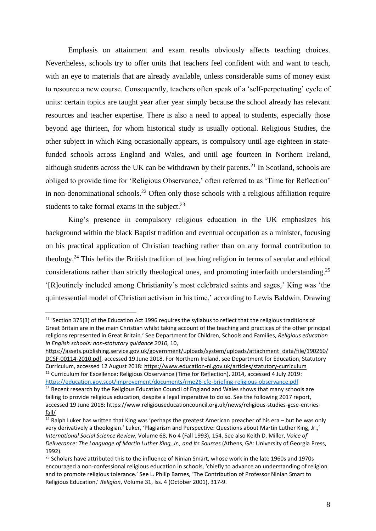Emphasis on attainment and exam results obviously affects teaching choices. Nevertheless, schools try to offer units that teachers feel confident with and want to teach, with an eye to materials that are already available, unless considerable sums of money exist to resource a new course. Consequently, teachers often speak of a 'self-perpetuating' cycle of units: certain topics are taught year after year simply because the school already has relevant resources and teacher expertise. There is also a need to appeal to students, especially those beyond age thirteen, for whom historical study is usually optional. Religious Studies, the other subject in which King occasionally appears, is compulsory until age eighteen in statefunded schools across England and Wales, and until age fourteen in Northern Ireland, although students across the UK can be withdrawn by their parents.<sup>21</sup> In Scotland, schools are obliged to provide time for 'Religious Observance,' often referred to as 'Time for Reflection' in non-denominational schools.<sup>22</sup> Often only those schools with a religious affiliation require students to take formal exams in the subject. $23$ 

King's presence in compulsory religious education in the UK emphasizes his background within the black Baptist tradition and eventual occupation as a minister, focusing on his practical application of Christian teaching rather than on any formal contribution to theology.<sup>24</sup> This befits the British tradition of teaching religion in terms of secular and ethical considerations rather than strictly theological ones, and promoting interfaith understanding.<sup>25</sup> '[R]outinely included among Christianity's most celebrated saints and sages,' King was 'the quintessential model of Christian activism in his time,' according to Lewis Baldwin. Drawing

<sup>&</sup>lt;sup>21</sup> 'Section 375(3) of the Education Act 1996 requires the syllabus to reflect that the religious traditions of Great Britain are in the main Christian whilst taking account of the teaching and practices of the other principal religions represented in Great Britain.' See Department for Children, Schools and Families, *Religious education in English schools: non-statutory guidance 2010*, 10,

[https://assets.publishing.service.gov.uk/government/uploads/system/uploads/attachment\\_data/file/190260/](https://assets.publishing.service.gov.uk/government/uploads/system/uploads/attachment_data/file/190260/DCSF-00114-2010.pdf) [DCSF-00114-2010.pdf,](https://assets.publishing.service.gov.uk/government/uploads/system/uploads/attachment_data/file/190260/DCSF-00114-2010.pdf) accessed 19 June 2018. For Northern Ireland, see Department for Education, Statutory Curriculum, accessed 12 August 2018[: https://www.education-ni.gov.uk/articles/statutory-curriculum](https://www.education-ni.gov.uk/articles/statutory-curriculum) <sup>22</sup> Curriculum for Excellence: Religious Observance (Time for Reflection), 2014, accessed 4 July 2019: <https://education.gov.scot/improvement/documents/rme26-cfe-briefing-religious-observance.pdf>

<sup>&</sup>lt;sup>23</sup> Recent research by the Religious Education Council of England and Wales shows that many schools are failing to provide religious education, despite a legal imperative to do so. See the following 2017 report, accessed 19 June 2018: [https://www.religiouseducationcouncil.org.uk/news/religious-studies-gcse-entries](https://www.religiouseducationcouncil.org.uk/news/religious-studies-gcse-entries-fall/)[fall/](https://www.religiouseducationcouncil.org.uk/news/religious-studies-gcse-entries-fall/)

 $24$  Ralph Luker has written that King was 'perhaps the greatest American preacher of his era – but he was only very derivatively a theologian.' Luker, 'Plagiarism and Perspective: Questions about Martin Luther King, Jr.,' *International Social Science Review*, Volume 68, No 4 (Fall 1993), 154. See also Keith D. Miller, *Voice of Deliverance: The Language of Martin Luther King, Jr., and Its Sources* (Athens, GA: University of Georgia Press, 1992).

<sup>&</sup>lt;sup>25</sup> Scholars have attributed this to the influence of Ninian Smart, whose work in the late 1960s and 1970s encouraged a non-confessional religious education in schools, 'chiefly to advance an understanding of religion and to promote religious tolerance.' See L. Philip Barnes, 'The Contribution of Professor Ninian Smart to Religious Education,' *Religion*, Volume 31, Iss. 4 (October 2001), 317-9.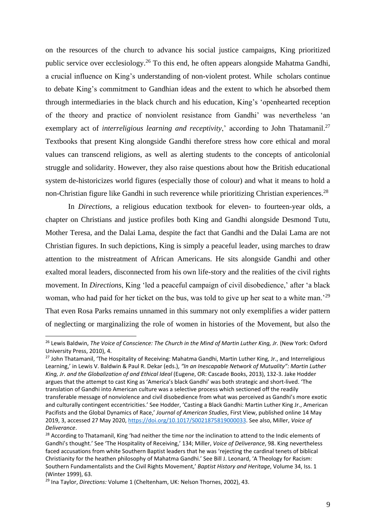on the resources of the church to advance his social justice campaigns, King prioritized public service over ecclesiology.<sup>26</sup> To this end, he often appears alongside Mahatma Gandhi, a crucial influence on King's understanding of non-violent protest. While scholars continue to debate King's commitment to Gandhian ideas and the extent to which he absorbed them through intermediaries in the black church and his education, King's 'openhearted reception of the theory and practice of nonviolent resistance from Gandhi' was nevertheless 'an exemplary act of *interreligious learning and receptivity*,' according to John Thatamanil.<sup>27</sup> Textbooks that present King alongside Gandhi therefore stress how core ethical and moral values can transcend religions, as well as alerting students to the concepts of anticolonial struggle and solidarity. However, they also raise questions about how the British educational system de-historicizes world figures (especially those of colour) and what it means to hold a non-Christian figure like Gandhi in such reverence while prioritizing Christian experiences.<sup>28</sup>

In *Directions*, a religious education textbook for eleven- to fourteen-year olds, a chapter on Christians and justice profiles both King and Gandhi alongside Desmond Tutu, Mother Teresa, and the Dalai Lama, despite the fact that Gandhi and the Dalai Lama are not Christian figures. In such depictions, King is simply a peaceful leader, using marches to draw attention to the mistreatment of African Americans. He sits alongside Gandhi and other exalted moral leaders, disconnected from his own life-story and the realities of the civil rights movement. In *Directions*, King 'led a peaceful campaign of civil disobedience,' after 'a black woman, who had paid for her ticket on the bus, was told to give up her seat to a white man.<sup>29</sup> That even Rosa Parks remains unnamed in this summary not only exemplifies a wider pattern of neglecting or marginalizing the role of women in histories of the Movement, but also the

<sup>26</sup> Lewis Baldwin, *The Voice of Conscience: The Church in the Mind of Martin Luther King, Jr.* (New York: Oxford University Press, 2010), 4.

<sup>&</sup>lt;sup>27</sup> John Thatamanil, 'The Hospitality of Receiving: Mahatma Gandhi, Martin Luther King, Jr., and Interreligious Learning,' in Lewis V. Baldwin & Paul R. Dekar (eds.), *"In an Inescapable Network of Mutuality": Martin Luther King, Jr. and the Globalization of and Ethical Ideal* (Eugene, OR: Cascade Books, 2013), 132-3. Jake Hodder argues that the attempt to cast King as 'America's black Gandhi' was both strategic and short-lived. 'The translation of Gandhi into American culture was a selective process which sectioned off the readily transferable message of nonviolence and civil disobedience from what was perceived as Gandhi's more exotic and culturally contingent eccentricities.' See Hodder, 'Casting a Black Gandhi: Martin Luther King Jr., American Pacifists and the Global Dynamics of Race,' *Journal of American Studies*, First View, published online 14 May 2019, 3, accessed 27 May 2020, [https://doi.org/10.1017/S0021875819000033.](https://doi.org/10.1017/S0021875819000033) See also, Miller, *Voice of Deliverance*.

<sup>&</sup>lt;sup>28</sup> According to Thatamanil, King 'had neither the time nor the inclination to attend to the Indic elements of Gandhi's thought.' See 'The Hospitality of Receiving,' 134; Miller, *Voice of Deliverance*, 98. King nevertheless faced accusations from white Southern Baptist leaders that he was 'rejecting the cardinal tenets of biblical Christianity for the heathen philosophy of Mahatma Gandhi.' See Bill J. Leonard, 'A Theology for Racism: Southern Fundamentalists and the Civil Rights Movement,' *Baptist History and Heritage*, Volume 34, Iss. 1 (Winter 1999), 63.

<sup>29</sup> Ina Taylor, *Directions:* Volume 1 (Cheltenham, UK: Nelson Thornes, 2002), 43.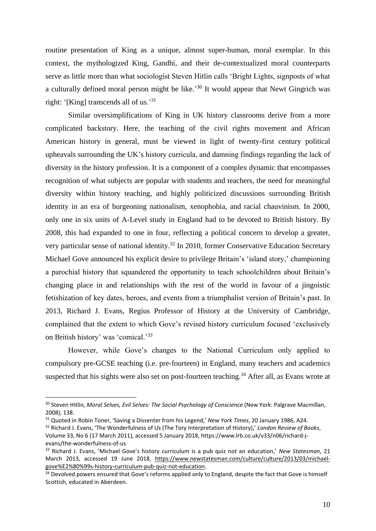routine presentation of King as a unique, almost super-human, moral exemplar. In this context, the mythologized King, Gandhi, and their de-contextualized moral counterparts serve as little more than what sociologist Steven Hitlin calls 'Bright Lights, signposts of what a culturally defined moral person might be like.<sup>30</sup> It would appear that Newt Gingrich was right: '[King] transcends all of us.'<sup>31</sup>

Similar oversimplifications of King in UK history classrooms derive from a more complicated backstory. Here, the teaching of the civil rights movement and African American history in general, must be viewed in light of twenty-first century political upheavals surrounding the UK's history curricula, and damning findings regarding the lack of diversity in the history profession. It is a component of a complex dynamic that encompasses recognition of what subjects are popular with students and teachers, the need for meaningful diversity within history teaching, and highly politicized discussions surrounding British identity in an era of burgeoning nationalism, xenophobia, and racial chauvinism. In 2000, only one in six units of A-Level study in England had to be devoted to British history. By 2008, this had expanded to one in four, reflecting a political concern to develop a greater, very particular sense of national identity.<sup>32</sup> In 2010, former Conservative Education Secretary Michael Gove announced his explicit desire to privilege Britain's 'island story,' championing a parochial history that squandered the opportunity to teach schoolchildren about Britain's changing place in and relationships with the rest of the world in favour of a jingoistic fetishization of key dates, heroes, and events from a triumphalist version of Britain's past. In 2013, Richard J. Evans, Regius Professor of History at the University of Cambridge, complained that the extent to which Gove's revised history curriculum focused 'exclusively on British history' was 'comical.'<sup>33</sup>

However, while Gove's changes to the National Curriculum only applied to compulsory pre-GCSE teaching (i.e. pre-fourteen) in England, many teachers and academics suspected that his sights were also set on post-fourteen teaching.<sup>34</sup> After all, as Evans wrote at

<sup>30</sup> Steven Hitlin, *Moral Selves, Evil Selves: The Social Psychology of Conscience* (New York: Palgrave Macmillan, 2008), 138.

<sup>31</sup> Quoted in Robin Toner, 'Saving a Dissenter from his Legend,' *New York Times*, 20 January 1986, A24.

<sup>32</sup> Richard J. Evans, 'The Wonderfulness of Us (The Tory Interpretation of History),' *London Review of Books*, Volume 33, No 6 (17 March 2011), accessed 5 January 2018, https://www.lrb.co.uk/v33/n06/richard-jevans/the-wonderfulness-of-us

<sup>33</sup> Richard J. Evans, 'Michael Gove's history curriculum is a pub quiz not an education,' *New Statesman*, 21 March 2013, accessed 19 June 2018, [https://www.newstatesman.com/culture/culture/2013/03/michael](https://www.newstatesman.com/culture/culture/2013/03/michael-gove%E2%80%99s-history-curriculum-pub-quiz-not-education)[gove%E2%80%99s-history-curriculum-pub-quiz-not-education.](https://www.newstatesman.com/culture/culture/2013/03/michael-gove%E2%80%99s-history-curriculum-pub-quiz-not-education) 

<sup>&</sup>lt;sup>34</sup> Devolved powers ensured that Gove's reforms applied only to England, despite the fact that Gove is himself Scottish, educated in Aberdeen.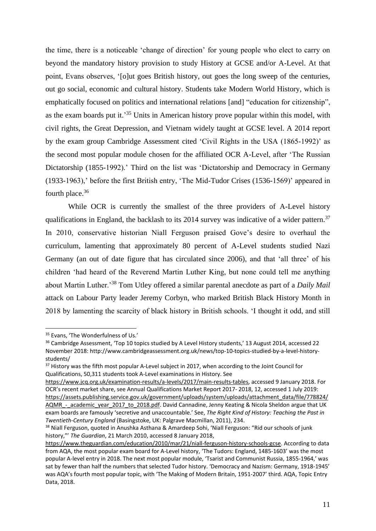the time, there is a noticeable 'change of direction' for young people who elect to carry on beyond the mandatory history provision to study History at GCSE and/or A-Level. At that point, Evans observes, '[o]ut goes British history, out goes the long sweep of the centuries, out go social, economic and cultural history. Students take Modern World History, which is emphatically focused on politics and international relations [and] "education for citizenship", as the exam boards put it.<sup>35</sup> Units in American history prove popular within this model, with civil rights, the Great Depression, and Vietnam widely taught at GCSE level. A 2014 report by the exam group Cambridge Assessment cited 'Civil Rights in the USA (1865-1992)' as the second most popular module chosen for the affiliated OCR A-Level, after 'The Russian Dictatorship (1855-1992).' Third on the list was 'Dictatorship and Democracy in Germany (1933-1963),' before the first British entry, 'The Mid-Tudor Crises (1536-1569)' appeared in fourth place. $36$ 

While OCR is currently the smallest of the three providers of A-Level history qualifications in England, the backlash to its 2014 survey was indicative of a wider pattern.<sup>37</sup> In 2010, conservative historian Niall Ferguson praised Gove's desire to overhaul the curriculum, lamenting that approximately 80 percent of A-Level students studied Nazi Germany (an out of date figure that has circulated since 2006), and that 'all three' of his children 'had heard of the Reverend Martin Luther King, but none could tell me anything about Martin Luther.'<sup>38</sup> Tom Utley offered a similar parental anecdote as part of a *Daily Mail* attack on Labour Party leader Jeremy Corbyn, who marked British Black History Month in 2018 by lamenting the scarcity of black history in British schools. 'I thought it odd, and still

<sup>&</sup>lt;sup>35</sup> Evans, 'The Wonderfulness of Us.'

<sup>&</sup>lt;sup>36</sup> Cambridge Assessment, 'Top 10 topics studied by A Level History students,' 13 August 2014, accessed 22 November 2018: http://www.cambridgeassessment.org.uk/news/top-10-topics-studied-by-a-level-historystudents/

<sup>&</sup>lt;sup>37</sup> History was the fifth most popular A-Level subject in 2017, when according to the Joint Council for Qualifications, 50,311 students took A-Level examinations in History. See

[https://www.jcq.org.uk/examination-results/a-levels/2017/main-results-tables,](https://www.jcq.org.uk/examination-results/a-levels/2017/main-results-tables) accessed 9 January 2018. For OCR's recent market share, see Annual Qualifications Market Report 2017- 2018, 12, accessed 1 July 2019: [https://assets.publishing.service.gov.uk/government/uploads/system/uploads/attachment\\_data/file/778824/](https://assets.publishing.service.gov.uk/government/uploads/system/uploads/attachment_data/file/778824/AQMR_-_academic_year_2017_to_2018.pdf) AQMR - academic year 2017 to 2018.pdf. David Cannadine, Jenny Keating & Nicola Sheldon argue that UK exam boards are famously 'secretive and unaccountable.' See, *The Right Kind of History: Teaching the Past in Twentieth-Century England* (Basingstoke, UK: Palgrave Macmillan, 2011), 234.

<sup>&</sup>lt;sup>38</sup> Niall Ferguson, quoted in Anushka Asthana & Amardeep Sohi, 'Niall Ferguson: "Rid our schools of junk history,"' *The Guardian*, 21 March 2010, accessed 8 January 2018,

[https://www.theguardian.com/education/2010/mar/21/niall-ferguson-history-schools-gcse.](https://www.theguardian.com/education/2010/mar/21/niall-ferguson-history-schools-gcse) According to data from AQA, the most popular exam board for A-Level history, 'The Tudors: England, 1485-1603' was the most popular A-level entry in 2018. The next most popular module, 'Tsarist and Communist Russia, 1855-1964,' was sat by fewer than half the numbers that selected Tudor history. 'Democracy and Nazism: Germany, 1918-1945' was AQA's fourth most popular topic, with 'The Making of Modern Britain, 1951-2007' third. AQA, Topic Entry Data, 2018.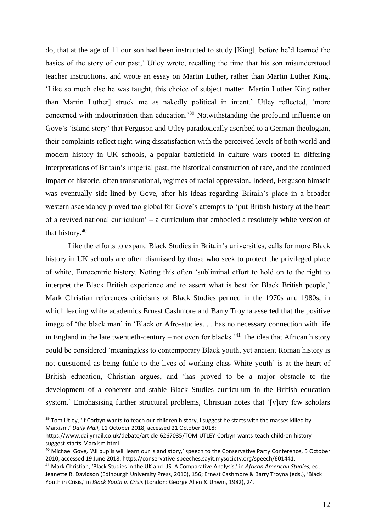do, that at the age of 11 our son had been instructed to study [King], before he'd learned the basics of the story of our past,' Utley wrote, recalling the time that his son misunderstood teacher instructions, and wrote an essay on Martin Luther, rather than Martin Luther King. 'Like so much else he was taught, this choice of subject matter [Martin Luther King rather than Martin Luther] struck me as nakedly political in intent,' Utley reflected, 'more concerned with indoctrination than education.'<sup>39</sup> Notwithstanding the profound influence on Gove's 'island story' that Ferguson and Utley paradoxically ascribed to a German theologian, their complaints reflect right-wing dissatisfaction with the perceived levels of both world and modern history in UK schools, a popular battlefield in culture wars rooted in differing interpretations of Britain's imperial past, the historical construction of race, and the continued impact of historic, often transnational, regimes of racial oppression. Indeed, Ferguson himself was eventually side-lined by Gove, after his ideas regarding Britain's place in a broader western ascendancy proved too global for Gove's attempts to 'put British history at the heart of a revived national curriculum' – a curriculum that embodied a resolutely white version of that history.<sup>40</sup>

Like the efforts to expand Black Studies in Britain's universities, calls for more Black history in UK schools are often dismissed by those who seek to protect the privileged place of white, Eurocentric history. Noting this often 'subliminal effort to hold on to the right to interpret the Black British experience and to assert what is best for Black British people,' Mark Christian references criticisms of Black Studies penned in the 1970s and 1980s, in which leading white academics Ernest Cashmore and Barry Troyna asserted that the positive image of 'the black man' in 'Black or Afro-studies. . . has no necessary connection with life in England in the late twentieth-century – not even for blacks.<sup> $31$ </sup> The idea that African history could be considered 'meaningless to contemporary Black youth, yet ancient Roman history is not questioned as being futile to the lives of working-class White youth' is at the heart of British education, Christian argues, and 'has proved to be a major obstacle to the development of a coherent and stable Black Studies curriculum in the British education system.' Emphasising further structural problems, Christian notes that '[v]ery few scholars

<sup>&</sup>lt;sup>39</sup> Tom Utley, 'If Corbyn wants to teach our children history, I suggest he starts with the masses killed by Marxism,' *Daily Mail*, 11 October 2018, accessed 21 October 2018:

https://www.dailymail.co.uk/debate/article-6267035/TOM-UTLEY-Corbyn-wants-teach-children-historysuggest-starts-Marxism.html

<sup>&</sup>lt;sup>40</sup> Michael Gove, 'All pupils will learn our island story,' speech to the Conservative Party Conference, 5 October 2010, accessed 19 June 2018: [https://conservative-speeches.sayit.mysociety.org/speech/601441.](https://conservative-speeches.sayit.mysociety.org/speech/601441)

<sup>41</sup> Mark Christian, 'Black Studies in the UK and US: A Comparative Analysis,' in *African American Studies*, ed. Jeanette R. Davidson (Edinburgh University Press, 2010), 156; Ernest Cashmore & Barry Troyna (eds.), 'Black Youth in Crisis,' in *Black Youth in Crisis* (London: George Allen & Unwin, 1982), 24.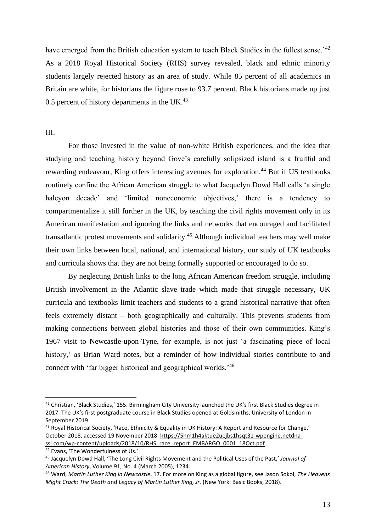have emerged from the British education system to teach Black Studies in the fullest sense.<sup>'42</sup> As a 2018 Royal Historical Society (RHS) survey revealed, black and ethnic minority students largely rejected history as an area of study. While 85 percent of all academics in Britain are white, for historians the figure rose to 93.7 percent. Black historians made up just 0.5 percent of history departments in the UK $^{43}$ 

#### III.

For those invested in the value of non-white British experiences, and the idea that studying and teaching history beyond Gove's carefully solipsized island is a fruitful and rewarding endeavour, King offers interesting avenues for exploration.<sup>44</sup> But if US textbooks routinely confine the African American struggle to what Jacquelyn Dowd Hall calls 'a single halcyon decade' and 'limited noneconomic objectives,' there is a tendency to compartmentalize it still further in the UK, by teaching the civil rights movement only in its American manifestation and ignoring the links and networks that encouraged and facilitated transatlantic protest movements and solidarity.<sup>45</sup> Although individual teachers may well make their own links between local, national, and international history, our study of UK textbooks and curricula shows that they are not being formally supported or encouraged to do so.

By neglecting British links to the long African American freedom struggle, including British involvement in the Atlantic slave trade which made that struggle necessary, UK curricula and textbooks limit teachers and students to a grand historical narrative that often feels extremely distant – both geographically and culturally. This prevents students from making connections between global histories and those of their own communities. King's 1967 visit to Newcastle-upon-Tyne, for example, is not just 'a fascinating piece of local history,' as Brian Ward notes, but a reminder of how individual stories contribute to and connect with 'far bigger historical and geographical worlds.'<sup>46</sup>

<sup>42</sup> Christian, 'Black Studies,' 155. Birmingham City University launched the UK's first Black Studies degree in 2017. The UK's first postgraduate course in Black Studies opened at Goldsmiths, University of London in September 2019.

<sup>43</sup> Royal Historical Society, 'Race, Ethnicity & Equality in UK History: A Report and Resource for Change,' October 2018, accessed 19 November 2018: [https://5hm1h4aktue2uejbs1hsqt31-wpengine.netdna](https://5hm1h4aktue2uejbs1hsqt31-wpengine.netdna-ssl.com/wp-content/uploads/2018/10/RHS_race_report_EMBARGO_0001_18Oct.pdf)[ssl.com/wp-content/uploads/2018/10/RHS\\_race\\_report\\_EMBARGO\\_0001\\_18Oct.pdf](https://5hm1h4aktue2uejbs1hsqt31-wpengine.netdna-ssl.com/wp-content/uploads/2018/10/RHS_race_report_EMBARGO_0001_18Oct.pdf)

<sup>44</sup> Evans, 'The Wonderfulness of Us.'

<sup>45</sup> Jacquelyn Dowd Hall, 'The Long Civil Rights Movement and the Political Uses of the Past,' *Journal of American History*, Volume 91, No. 4 (March 2005), 1234.

<sup>46</sup> Ward, *Martin Luther King in Newcastle*, 17. For more on King as a global figure, see Jason Sokol, *The Heavens Might Crack: The Death a*nd *Legacy of Martin Luther King, Jr.* (New York: Basic Books, 2018).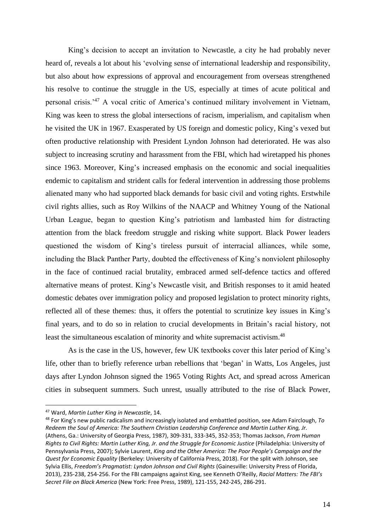King's decision to accept an invitation to Newcastle, a city he had probably never heard of, reveals a lot about his 'evolving sense of international leadership and responsibility, but also about how expressions of approval and encouragement from overseas strengthened his resolve to continue the struggle in the US, especially at times of acute political and personal crisis.'<sup>47</sup> A vocal critic of America's continued military involvement in Vietnam, King was keen to stress the global intersections of racism, imperialism, and capitalism when he visited the UK in 1967. Exasperated by US foreign and domestic policy, King's vexed but often productive relationship with President Lyndon Johnson had deteriorated. He was also subject to increasing scrutiny and harassment from the FBI, which had wiretapped his phones since 1963. Moreover, King's increased emphasis on the economic and social inequalities endemic to capitalism and strident calls for federal intervention in addressing those problems alienated many who had supported black demands for basic civil and voting rights. Erstwhile civil rights allies, such as Roy Wilkins of the NAACP and Whitney Young of the National Urban League, began to question King's patriotism and lambasted him for distracting attention from the black freedom struggle and risking white support. Black Power leaders questioned the wisdom of King's tireless pursuit of interracial alliances, while some, including the Black Panther Party, doubted the effectiveness of King's nonviolent philosophy in the face of continued racial brutality, embraced armed self-defence tactics and offered alternative means of protest. King's Newcastle visit, and British responses to it amid heated domestic debates over immigration policy and proposed legislation to protect minority rights, reflected all of these themes: thus, it offers the potential to scrutinize key issues in King's final years, and to do so in relation to crucial developments in Britain's racial history, not least the simultaneous escalation of minority and white supremacist activism.<sup>48</sup>

As is the case in the US, however, few UK textbooks cover this later period of King's life, other than to briefly reference urban rebellions that 'began' in Watts, Los Angeles, just days after Lyndon Johnson signed the 1965 Voting Rights Act, and spread across American cities in subsequent summers. Such unrest, usually attributed to the rise of Black Power,

<sup>47</sup> Ward, *Martin Luther King in Newcastle*, 14.

<sup>48</sup> For King's new public radicalism and increasingly isolated and embattled position, see Adam Fairclough, *To Redeem the Soul of America: The Southern Christian Leadership Conference and Martin Luther King, Jr.*  (Athens, Ga.: University of Georgia Press, 1987), 309-331, 333-345, 352-353; Thomas Jackson, *From Human Rights to Civil Rights: Martin Luther King, Jr. and the Struggle for Economic Justice* (Philadelphia: University of Pennsylvania Press, 2007); Sylvie Laurent, *King and the Other America: The Poor People's Campaign and the Quest for Economic Equality* (Berkeley: University of California Press, 2018). For the split with Johnson, see Sylvia Ellis, *Freedom's Pragmatist: Lyndon Johnson and Civil Rights* (Gainesville: University Press of Florida, 2013), 235-238, 254-256. For the FBI campaigns against King, see Kenneth O'Reilly, *Racial Matters: The FBI's Secret File on Black America* (New York: Free Press, 1989), 121-155, 242-245, 286-291.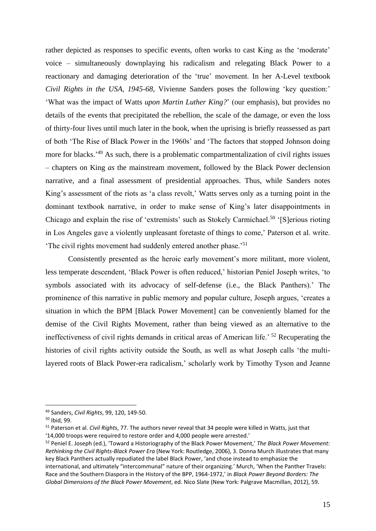rather depicted as responses to specific events, often works to cast King as the 'moderate' voice – simultaneously downplaying his radicalism and relegating Black Power to a reactionary and damaging deterioration of the 'true' movement. In her A-Level textbook *Civil Rights in the USA, 1945-68*, Vivienne Sanders poses the following 'key question:' 'What was the impact of Watts *upon Martin Luther King?*' (our emphasis), but provides no details of the events that precipitated the rebellion, the scale of the damage, or even the loss of thirty-four lives until much later in the book, when the uprising is briefly reassessed as part of both 'The Rise of Black Power in the 1960s' and 'The factors that stopped Johnson doing more for blacks.<sup>'49</sup> As such, there is a problematic compartmentalization of civil rights issues – chapters on King *as* the mainstream movement, followed by the Black Power declension narrative, and a final assessment of presidential approaches. Thus, while Sanders notes King's assessment of the riots as 'a class revolt,' Watts serves only as a turning point in the dominant textbook narrative, in order to make sense of King's later disappointments in Chicago and explain the rise of 'extremists' such as Stokely Carmichael.<sup>50</sup> '[S]erious rioting in Los Angeles gave a violently unpleasant foretaste of things to come,' Paterson et al. write. 'The civil rights movement had suddenly entered another phase.'<sup>51</sup>

Consistently presented as the heroic early movement's more militant, more violent, less temperate descendent, 'Black Power is often reduced,' historian Peniel Joseph writes, 'to symbols associated with its advocacy of self-defense (i.e., the Black Panthers).' The prominence of this narrative in public memory and popular culture, Joseph argues, 'creates a situation in which the BPM [Black Power Movement] can be conveniently blamed for the demise of the Civil Rights Movement, rather than being viewed as an alternative to the ineffectiveness of civil rights demands in critical areas of American life.' <sup>52</sup> Recuperating the histories of civil rights activity outside the South, as well as what Joseph calls 'the multilayered roots of Black Power-era radicalism,' scholarly work by Timothy Tyson and Jeanne

<sup>49</sup> Sanders, *Civil Rights*, 99, 120, 149-50.

<sup>50</sup> Ibid, 99.

<sup>51</sup> Paterson et al. *Civil Rights*, 77. The authors never reveal that 34 people were killed in Watts, just that '14,000 troops were required to restore order and 4,000 people were arrested.'

<sup>52</sup> Peniel E. Joseph (ed.), 'Toward a Historiography of the Black Power Movement,' *The Black Power Movement: Rethinking the Civil Rights-Black Power Era* (New York: Routledge, 2006), 3. Donna Murch illustrates that many key Black Panthers actually repudiated the label Black Power, 'and chose instead to emphasize the international, and ultimately "intercommunal" nature of their organizing.' Murch, 'When the Panther Travels: Race and the Southern Diaspora in the History of the BPP, 1964-1972,' in *Black Power Beyond Borders: The Global Dimensions of the Black Power Movement*, ed. Nico Slate (New York: Palgrave Macmillan, 2012), 59.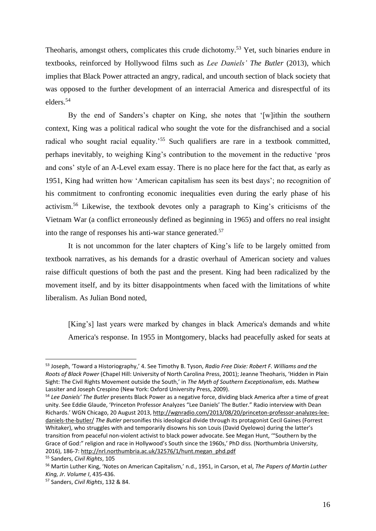Theoharis, amongst others, complicates this crude dichotomy.<sup>53</sup> Yet, such binaries endure in textbooks, reinforced by Hollywood films such as *Lee Daniels' The Butler* (2013), which implies that Black Power attracted an angry, radical, and uncouth section of black society that was opposed to the further development of an interracial America and disrespectful of its elders.<sup>54</sup>

By the end of Sanders's chapter on King, she notes that '[w]ithin the southern context, King was a political radical who sought the vote for the disfranchised and a social radical who sought racial equality.<sup>55</sup> Such qualifiers are rare in a textbook committed, perhaps inevitably, to weighing King's contribution to the movement in the reductive 'pros and cons' style of an A-Level exam essay. There is no place here for the fact that, as early as 1951, King had written how 'American capitalism has seen its best days'; no recognition of his commitment to confronting economic inequalities even during the early phase of his activism. <sup>56</sup> Likewise, the textbook devotes only a paragraph to King's criticisms of the Vietnam War (a conflict erroneously defined as beginning in 1965) and offers no real insight into the range of responses his anti-war stance generated.<sup>57</sup>

It is not uncommon for the later chapters of King's life to be largely omitted from textbook narratives, as his demands for a drastic overhaul of American society and values raise difficult questions of both the past and the present. King had been radicalized by the movement itself, and by its bitter disappointments when faced with the limitations of white liberalism. As Julian Bond noted,

[King's] last years were marked by changes in black America's demands and white America's response. In 1955 in Montgomery, blacks had peacefully asked for seats at

<sup>53</sup> Joseph, 'Toward a Historiography,' 4. See Timothy B. Tyson, *Radio Free Dixie: Robert F. Williams and the Roots of Black Power* (Chapel Hill: University of North Carolina Press, 2001); Jeanne Theoharis, 'Hidden in Plain Sight: The Civil Rights Movement outside the South,' in *The Myth of Southern Exceptionalism*, eds. Mathew Lassiter and Joseph Crespino (New York: Oxford University Press, 2009).

<sup>54</sup> *Lee Daniels' The Butler* presents Black Power as a negative force, dividing black America after a time of great unity. See Eddie Glaude, 'Princeton Professor Analyzes "Lee Daniels' The Butler." Radio interview with Dean Richards.' WGN Chicago, 20 August 2013[, http://wgnradio.com/2013/08/20/princeton-professor-analyzes-lee](http://wgnradio.com/2013/08/20/princeton-professor-analyzes-lee-daniels-the-butler/)[daniels-the-butler/](http://wgnradio.com/2013/08/20/princeton-professor-analyzes-lee-daniels-the-butler/) *The Butler* personifies this ideological divide through its protagonist Cecil Gaines (Forrest Whitaker), who struggles with and temporarily disowns his son Louis (David Oyelowo) during the latter's transition from peaceful non-violent activist to black power advocate. See Megan Hunt, '"Southern by the Grace of God:" religion and race in Hollywood's South since the 1960s,' PhD diss. (Northumbria University, 2016), 186-7[: http://nrl.northumbria.ac.uk/32576/1/hunt.megan\\_phd.pdf](http://nrl.northumbria.ac.uk/32576/1/hunt.megan_phd.pdf)

<sup>55</sup> Sanders, *Civil Rights*, 105

<sup>56</sup> Martin Luther King, 'Notes on American Capitalism,' n.d., 1951, in Carson, et al, *The Papers of Martin Luther King, Jr. Volume I*, 435-436.

<sup>57</sup> Sanders, *Civil Rights*, 132 & 84.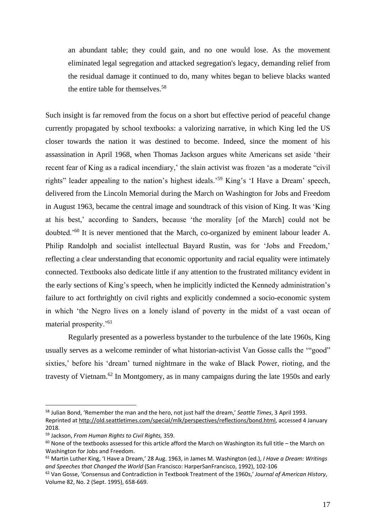an abundant table; they could gain, and no one would lose. As the movement eliminated legal segregation and attacked segregation's legacy, demanding relief from the residual damage it continued to do, many whites began to believe blacks wanted the entire table for themselves.<sup>58</sup>

Such insight is far removed from the focus on a short but effective period of peaceful change currently propagated by school textbooks: a valorizing narrative, in which King led the US closer towards the nation it was destined to become. Indeed, since the moment of his assassination in April 1968, when Thomas Jackson argues white Americans set aside 'their recent fear of King as a radical incendiary,' the slain activist was frozen 'as a moderate "civil rights" leader appealing to the nation's highest ideals.'<sup>59</sup> King's 'I Have a Dream' speech, delivered from the Lincoln Memorial during the March on Washington for Jobs and Freedom in August 1963, became the central image and soundtrack of this vision of King. It was 'King at his best,' according to Sanders, because 'the morality [of the March] could not be doubted.'<sup>60</sup> It is never mentioned that the March, co-organized by eminent labour leader A. Philip Randolph and socialist intellectual Bayard Rustin, was for 'Jobs and Freedom,' reflecting a clear understanding that economic opportunity and racial equality were intimately connected. Textbooks also dedicate little if any attention to the frustrated militancy evident in the early sections of King's speech, when he implicitly indicted the Kennedy administration's failure to act forthrightly on civil rights and explicitly condemned a socio-economic system in which 'the Negro lives on a lonely island of poverty in the midst of a vast ocean of material prosperity.'<sup>61</sup>

Regularly presented as a powerless bystander to the turbulence of the late 1960s, King usually serves as a welcome reminder of what historian-activist Van Gosse calls the '"good" sixties,' before his 'dream' turned nightmare in the wake of Black Power, rioting, and the travesty of Vietnam.<sup>62</sup> In Montgomery, as in many campaigns during the late 1950s and early

<sup>58</sup> Julian Bond, 'Remember the man and the hero, not just half the dream,' *Seattle Times*, 3 April 1993. Reprinted at [http://old.seattletimes.com/special/mlk/perspectives/reflections/bond.html,](http://old.seattletimes.com/special/mlk/perspectives/reflections/bond.html) accessed 4 January 2018.

<sup>59</sup> Jackson, *From Human Rights to Civil Rights,* 359.

 $60$  None of the textbooks assessed for this article afford the March on Washington its full title – the March on Washington for Jobs and Freedom.

<sup>61</sup> Martin Luther King, 'I Have a Dream,' 28 Aug. 1963, in James M. Washington (ed.), *I Have a Dream: Writings and Speeches that Changed the World* (San Francisco: HarperSanFrancisco, 1992), 102-106

<sup>62</sup> Van Gosse, 'Consensus and Contradiction in Textbook Treatment of the 1960s,' *Journal of American History*, Volume 82, No. 2 (Sept. 1995), 658-669.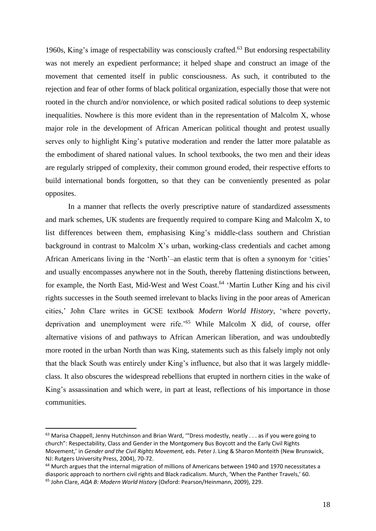1960s, King's image of respectability was consciously crafted.<sup>63</sup> But endorsing respectability was not merely an expedient performance; it helped shape and construct an image of the movement that cemented itself in public consciousness. As such, it contributed to the rejection and fear of other forms of black political organization, especially those that were not rooted in the church and/or nonviolence, or which posited radical solutions to deep systemic inequalities. Nowhere is this more evident than in the representation of Malcolm X, whose major role in the development of African American political thought and protest usually serves only to highlight King's putative moderation and render the latter more palatable as the embodiment of shared national values. In school textbooks, the two men and their ideas are regularly stripped of complexity, their common ground eroded, their respective efforts to build international bonds forgotten, so that they can be conveniently presented as polar opposites.

In a manner that reflects the overly prescriptive nature of standardized assessments and mark schemes, UK students are frequently required to compare King and Malcolm X, to list differences between them, emphasising King's middle-class southern and Christian background in contrast to Malcolm X's urban, working-class credentials and cachet among African Americans living in the 'North'–an elastic term that is often a synonym for 'cities' and usually encompasses anywhere not in the South, thereby flattening distinctions between, for example, the North East, Mid-West and West Coast.<sup>64</sup> 'Martin Luther King and his civil rights successes in the South seemed irrelevant to blacks living in the poor areas of American cities,' John Clare writes in GCSE textbook *Modern World History*, 'where poverty, deprivation and unemployment were rife.'<sup>65</sup> While Malcolm X did, of course, offer alternative visions of and pathways to African American liberation, and was undoubtedly more rooted in the urban North than was King, statements such as this falsely imply not only that the black South was entirely under King's influence, but also that it was largely middleclass. It also obscures the widespread rebellions that erupted in northern cities in the wake of King's assassination and which were, in part at least, reflections of his importance in those communities.

<sup>63</sup> Marisa Chappell, Jenny Hutchinson and Brian Ward, "Dress modestly, neatly . . . as if you were going to church": Respectability, Class and Gender in the Montgomery Bus Boycott and the Early Civil Rights Movement,' in *Gender and the Civil Rights Movement,* eds. Peter J. Ling & Sharon Monteith (New Brunswick, NJ: Rutgers University Press, 2004), 70-72.

 $64$  Murch argues that the internal migration of millions of Americans between 1940 and 1970 necessitates a diasporic approach to northern civil rights and Black radicalism. Murch, 'When the Panther Travels,' 60. <sup>65</sup> John Clare, *AQA B: Modern World History* (Oxford: Pearson/Heinmann, 2009), 229.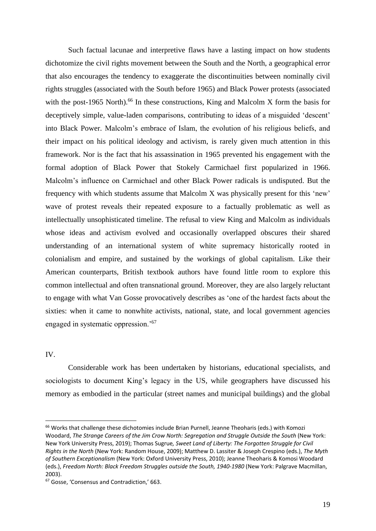Such factual lacunae and interpretive flaws have a lasting impact on how students dichotomize the civil rights movement between the South and the North, a geographical error that also encourages the tendency to exaggerate the discontinuities between nominally civil rights struggles (associated with the South before 1965) and Black Power protests (associated with the post-1965 North).<sup>66</sup> In these constructions, King and Malcolm X form the basis for deceptively simple, value-laden comparisons, contributing to ideas of a misguided 'descent' into Black Power. Malcolm's embrace of Islam, the evolution of his religious beliefs, and their impact on his political ideology and activism, is rarely given much attention in this framework. Nor is the fact that his assassination in 1965 prevented his engagement with the formal adoption of Black Power that Stokely Carmichael first popularized in 1966. Malcolm's influence on Carmichael and other Black Power radicals is undisputed. But the frequency with which students assume that Malcolm X was physically present for this 'new' wave of protest reveals their repeated exposure to a factually problematic as well as intellectually unsophisticated timeline. The refusal to view King and Malcolm as individuals whose ideas and activism evolved and occasionally overlapped obscures their shared understanding of an international system of white supremacy historically rooted in colonialism and empire, and sustained by the workings of global capitalism. Like their American counterparts, British textbook authors have found little room to explore this common intellectual and often transnational ground. Moreover, they are also largely reluctant to engage with what Van Gosse provocatively describes as 'one of the hardest facts about the sixties: when it came to nonwhite activists, national, state, and local government agencies engaged in systematic oppression.'<sup>67</sup>

IV.

Considerable work has been undertaken by historians, educational specialists, and sociologists to document King's legacy in the US, while geographers have discussed his memory as embodied in the particular (street names and municipal buildings) and the global

<sup>&</sup>lt;sup>66</sup> Works that challenge these dichotomies include Brian Purnell, Jeanne Theoharis (eds.) with Komozi Woodard, *The Strange Careers of the Jim Crow North: Segregation and Struggle Outside the South* (New York: New York University Press, 2019); Thomas Sugrue*, Sweet Land of Liberty: The Forgotten Struggle for Civil Rights in the North* (New York: Random House, 2009); Matthew D. Lassiter & Joseph Crespino (eds.), *The Myth of Southern Exceptionalism* (New York: Oxford University Press, 2010); Jeanne Theoharis & Komosi Woodard (eds.), *Freedom North: Black Freedom Struggles outside the South, 1940-1980* (New York: Palgrave Macmillan, 2003).

<sup>67</sup> Gosse, 'Consensus and Contradiction,' 663.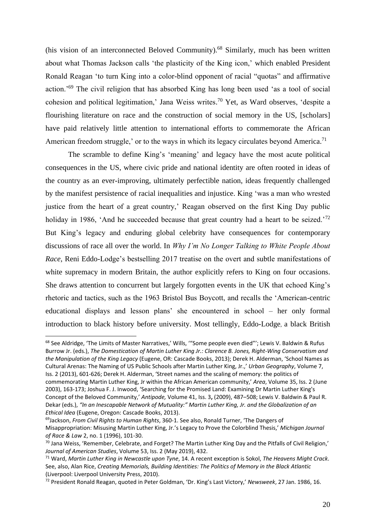(his vision of an interconnected Beloved Community). <sup>68</sup> Similarly, much has been written about what Thomas Jackson calls 'the plasticity of the King icon,' which enabled President Ronald Reagan 'to turn King into a color-blind opponent of racial "quotas" and affirmative action.'<sup>69</sup> The civil religion that has absorbed King has long been used 'as a tool of social cohesion and political legitimation,' Jana Weiss writes. <sup>70</sup> Yet, as Ward observes, 'despite a flourishing literature on race and the construction of social memory in the US, [scholars] have paid relatively little attention to international efforts to commemorate the African American freedom struggle,' or to the ways in which its legacy circulates beyond America.<sup>71</sup>

The scramble to define King's 'meaning' and legacy have the most acute political consequences in the US, where civic pride and national identity are often rooted in ideas of the country as an ever-improving, ultimately perfectible nation, ideas frequently challenged by the manifest persistence of racial inequalities and injustice. King 'was a man who wrested justice from the heart of a great country,' Reagan observed on the first King Day public holiday in 1986, 'And he succeeded because that great country had a heart to be seized.<sup>'72</sup> But King's legacy and enduring global celebrity have consequences for contemporary discussions of race all over the world. In *Why I'm No Longer Talking to White People About Race*, Reni Eddo-Lodge's bestselling 2017 treatise on the overt and subtle manifestations of white supremacy in modern Britain, the author explicitly refers to King on four occasions. She draws attention to concurrent but largely forgotten events in the UK that echoed King's rhetoric and tactics, such as the 1963 Bristol Bus Boycott, and recalls the 'American-centric educational displays and lesson plans' she encountered in school – her only formal introduction to black history before university. Most tellingly, Eddo-Lodge, a black British

<sup>68</sup> See Aldridge, 'The Limits of Master Narratives,' Wills, "'Some people even died"'; Lewis V. Baldwin & Rufus Burrow Jr. (eds.), *The Domestication of Martin Luther King Jr.: Clarence B. Jones, Right-Wing Conservatism and the Manipulation of the King Legacy* (Eugene, OR: Cascade Books, 2013); Derek H. Alderman, 'School Names as Cultural Arenas: The Naming of US Public Schools after Martin Luther King, Jr.,' *Urban Geography*, Volume 7, Iss. 2 (2013), 601-626; Derek H. Alderman, 'Street names and the scaling of memory: the politics of commemorating Martin Luther King, Jr within the African American community,' *Area*, Volume 35, Iss. 2 (June 2003), 163-173; Joshua F. J. Inwood, 'Searching for the Promised Land: Examining Dr Martin Luther King's Concept of the Beloved Community,' *Antipode,* Volume 41, Iss. 3**,** (2009), 487–508; Lewis V. Baldwin & Paul R. Dekar (eds.), *"In an Inescapable Network of Mutuality:" Martin Luther King, Jr. and the Globalization of an Ethical Idea* (Eugene, Oregon: Cascade Books, 2013).

<sup>69</sup>Jackson, *From Civil Rights to Human Rights*, 360-1. See also, Ronald Turner, 'The Dangers of Misappropriation: Misusing Martin Luther King, Jr.'s Legacy to Prove the Colorblind Thesis,' *Michigan Journal of Race & Law* 2, no. 1 (1996), 101-30.

<sup>70</sup> Jana Weiss, 'Remember, Celebrate, and Forget? The Martin Luther King Day and the Pitfalls of Civil Religion,' *Journal of American Studies*, Volume 53, Iss. 2 (May 2019), 432.

<sup>71</sup> Ward, *Martin Luther King in Newcastle upon Tyne*, 14. A recent exception is Sokol, *The Heavens Might Crack*. See, also, Alan Rice, *Creating Memorials, Building Identities: The Politics of Memory in the Black Atlantic* (Liverpool: Liverpool University Press, 2010).

<sup>72</sup> President Ronald Reagan, quoted in Peter Goldman, 'Dr. King's Last Victory,' *Newsweek*, 27 Jan. 1986, 16.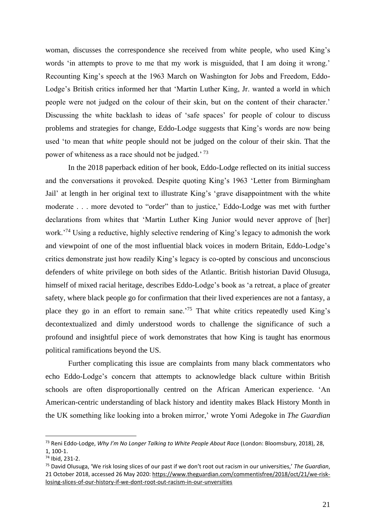woman, discusses the correspondence she received from white people, who used King's words 'in attempts to prove to me that my work is misguided, that I am doing it wrong.' Recounting King's speech at the 1963 March on Washington for Jobs and Freedom, Eddo-Lodge's British critics informed her that 'Martin Luther King, Jr. wanted a world in which people were not judged on the colour of their skin, but on the content of their character.' Discussing the white backlash to ideas of 'safe spaces' for people of colour to discuss problems and strategies for change, Eddo-Lodge suggests that King's words are now being used 'to mean that *white* people should not be judged on the colour of their skin. That the power of whiteness as a race should not be judged.' <sup>73</sup>

In the 2018 paperback edition of her book, Eddo-Lodge reflected on its initial success and the conversations it provoked. Despite quoting King's 1963 'Letter from Birmingham Jail' at length in her original text to illustrate King's 'grave disappointment with the white moderate . . . more devoted to "order" than to justice,' Eddo-Lodge was met with further declarations from whites that 'Martin Luther King Junior would never approve of [her] work.'<sup>74</sup> Using a reductive, highly selective rendering of King's legacy to admonish the work and viewpoint of one of the most influential black voices in modern Britain, Eddo-Lodge's critics demonstrate just how readily King's legacy is co-opted by conscious and unconscious defenders of white privilege on both sides of the Atlantic. British historian David Olusuga, himself of mixed racial heritage, describes Eddo-Lodge's book as 'a retreat, a place of greater safety, where black people go for confirmation that their lived experiences are not a fantasy, a place they go in an effort to remain sane.'<sup>75</sup> That white critics repeatedly used King's decontextualized and dimly understood words to challenge the significance of such a profound and insightful piece of work demonstrates that how King is taught has enormous political ramifications beyond the US.

Further complicating this issue are complaints from many black commentators who echo Eddo-Lodge's concern that attempts to acknowledge black culture within British schools are often disproportionally centred on the African American experience. 'An American-centric understanding of black history and identity makes Black History Month in the UK something like looking into a broken mirror,' wrote Yomi Adegoke in *The Guardian*

<sup>73</sup> Reni Eddo-Lodge, *Why I'm No Longer Talking to White People About Race* (London: Bloomsbury, 2018), 28, 1, 100-1.

<sup>74</sup> Ibid, 231-2.

<sup>75</sup> David Olusuga, 'We risk losing slices of our past if we don't root out racism in our universities,' *The Guardian*, 21 October 2018, accessed 26 May 2020: [https://www.theguardian.com/commentisfree/2018/oct/21/we-risk](https://www.theguardian.com/commentisfree/2018/oct/21/we-risk-losing-slices-of-our-history-if-we-dont-root-out-racism-in-our-unversities)[losing-slices-of-our-history-if-we-dont-root-out-racism-in-our-unversities](https://www.theguardian.com/commentisfree/2018/oct/21/we-risk-losing-slices-of-our-history-if-we-dont-root-out-racism-in-our-unversities)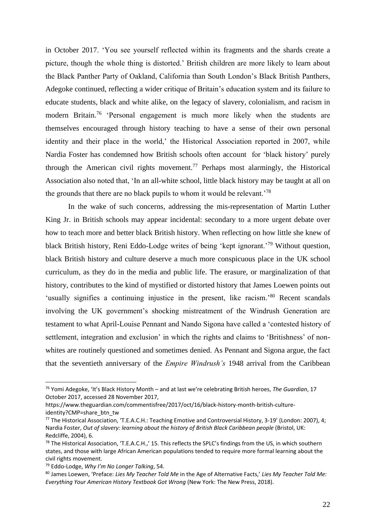in October 2017. 'You see yourself reflected within its fragments and the shards create a picture, though the whole thing is distorted.' British children are more likely to learn about the Black Panther Party of Oakland, California than South London's Black British Panthers, Adegoke continued, reflecting a wider critique of Britain's education system and its failure to educate students, black and white alike, on the legacy of slavery, colonialism, and racism in modern Britain.<sup>76</sup> 'Personal engagement is much more likely when the students are themselves encouraged through history teaching to have a sense of their own personal identity and their place in the world,' the Historical Association reported in 2007, while Nardia Foster has condemned how British schools often account for 'black history' purely through the American civil rights movement.<sup>77</sup> Perhaps most alarmingly, the Historical Association also noted that, 'In an all-white school, little black history may be taught at all on the grounds that there are no black pupils to whom it would be relevant.'<sup>78</sup>

In the wake of such concerns, addressing the mis-representation of Martin Luther King Jr. in British schools may appear incidental: secondary to a more urgent debate over how to teach more and better black British history. When reflecting on how little she knew of black British history, Reni Eddo-Lodge writes of being 'kept ignorant.'<sup>79</sup> Without question, black British history and culture deserve a much more conspicuous place in the UK school curriculum, as they do in the media and public life. The erasure, or marginalization of that history, contributes to the kind of mystified or distorted history that James Loewen points out 'usually signifies a continuing injustice in the present, like racism.'<sup>80</sup> Recent scandals involving the UK government's shocking mistreatment of the Windrush Generation are testament to what April-Louise Pennant and Nando Sigona have called a 'contested history of settlement, integration and exclusion' in which the rights and claims to 'Britishness' of nonwhites are routinely questioned and sometimes denied. As Pennant and Sigona argue, the fact that the seventieth anniversary of the *Empire Windrush's* 1948 arrival from the Caribbean

<sup>76</sup> Yomi Adegoke, 'It's Black History Month – and at last we're celebrating British heroes, *The Guardian*, 17 October 2017, accessed 28 November 2017,

https://www.theguardian.com/commentisfree/2017/oct/16/black-history-month-british-cultureidentity?CMP=share\_btn\_tw

<sup>77</sup> The Historical Association, 'T.E.A.C.H.: Teaching Emotive and Controversial History, 3-19' (London: 2007), 4; Nardia Foster, *Out of slavery: learning about the history of British Black Caribbean people* (Bristol, UK: Redcliffe, 2004), 6.

<sup>&</sup>lt;sup>78</sup> The Historical Association, 'T.E.A.C.H.,' 15. This reflects the SPLC's findings from the US, in which southern states, and those with large African American populations tended to require more formal learning about the civil rights movement.

<sup>79</sup> Eddo-Lodge, *Why I'm No Longer Talking*, 54.

<sup>80</sup> James Loewen, 'Preface: *Lies My Teacher Told Me* in the Age of Alternative Facts,' *Lies My Teacher Told Me: Everything Your American History Textbook Got Wrong* (New York: The New Press, 2018).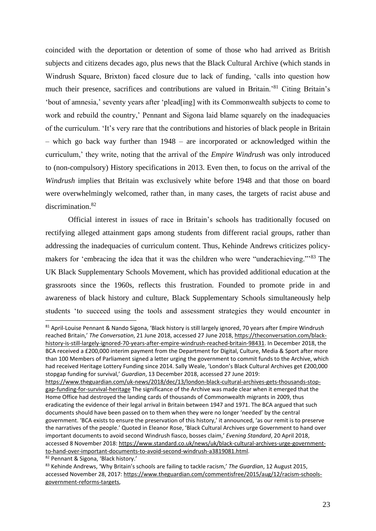coincided with the deportation or detention of some of those who had arrived as British subjects and citizens decades ago, plus news that the Black Cultural Archive (which stands in Windrush Square, Brixton) faced closure due to lack of funding, 'calls into question how much their presence, sacrifices and contributions are valued in Britain.'<sup>81</sup> Citing Britain's 'bout of amnesia,' seventy years after 'plead[ing] with its Commonwealth subjects to come to work and rebuild the country,' Pennant and Sigona laid blame squarely on the inadequacies of the curriculum. 'It's very rare that the contributions and histories of black people in Britain – which go back way further than 1948 – are incorporated or acknowledged within the curriculum,' they write, noting that the arrival of the *Empire Windrush* was only introduced to (non-compulsory) History specifications in 2013. Even then, to focus on the arrival of the *Windrush* implies that Britain was exclusively white before 1948 and that those on board were overwhelmingly welcomed, rather than, in many cases, the targets of racist abuse and discrimination.<sup>82</sup>

Official interest in issues of race in Britain's schools has traditionally focused on rectifying alleged attainment gaps among students from different racial groups, rather than addressing the inadequacies of curriculum content. Thus, Kehinde Andrews criticizes policymakers for 'embracing the idea that it was the children who were "underachieving."<sup>83</sup> The UK Black Supplementary Schools Movement, which has provided additional education at the grassroots since the 1960s, reflects this frustration. Founded to promote pride in and awareness of black history and culture, Black Supplementary Schools simultaneously help students 'to succeed using the tools and assessment strategies they would encounter in

<sup>81</sup> April-Louise Pennant & Nando Sigona, 'Black history is still largely ignored, 70 years after Empire Windrush reached Britain,' *The Conversation*, 21 June 2018, accessed 27 June 2018[, https://theconversation.com/black](https://theconversation.com/black-history-is-still-largely-ignored-70-years-after-empire-windrush-reached-britain-98431)[history-is-still-largely-ignored-70-years-after-empire-windrush-reached-britain-98431.](https://theconversation.com/black-history-is-still-largely-ignored-70-years-after-empire-windrush-reached-britain-98431) In December 2018, the BCA received a £200,000 interim payment from the Department for Digital, Culture, Media & Sport after more than 100 Members of Parliament signed a letter urging the government to commit funds to the Archive, which had received Heritage Lottery Funding since 2014. Sally Weale, 'London's Black Cultural Archives get £200,000 stopgap funding for survival,' *Guardian*, 13 December 2018, accessed 27 June 2019:

[https://www.theguardian.com/uk-news/2018/dec/13/london-black-cultural-archives-gets-thousands-stop](https://www.theguardian.com/uk-news/2018/dec/13/london-black-cultural-archives-gets-thousands-stop-gap-funding-for-survival-heritage)[gap-funding-for-survival-heritage](https://www.theguardian.com/uk-news/2018/dec/13/london-black-cultural-archives-gets-thousands-stop-gap-funding-for-survival-heritage) The significance of the Archive was made clear when it emerged that the Home Office had destroyed the landing cards of thousands of Commonwealth migrants in 2009, thus eradicating the evidence of their legal arrival in Britain between 1947 and 1971. The BCA argued that such documents should have been passed on to them when they were no longer 'needed' by the central government. 'BCA exists to ensure the preservation of this history,' it announced, 'as our remit is to preserve the narratives of the people.' Quoted in Eleanor Rose, 'Black Cultural Archives urge Government to hand over important documents to avoid second Windrush fiasco, bosses claim,' *Evening Standard*, 20 April 2018, accessed 8 November 2018[: https://www.standard.co.uk/news/uk/black-cultural-archives-urge-government](https://www.standard.co.uk/news/uk/black-cultural-archives-urge-government-to-hand-over-important-documents-to-avoid-second-windrush-a3819081.html)[to-hand-over-important-documents-to-avoid-second-windrush-a3819081.html.](https://www.standard.co.uk/news/uk/black-cultural-archives-urge-government-to-hand-over-important-documents-to-avoid-second-windrush-a3819081.html)

<sup>82</sup> Pennant & Sigona, 'Black history.'

<sup>83</sup> Kehinde Andrews, 'Why Britain's schools are failing to tackle racism,' *The Guardian*, 12 August 2015, accessed November 28, 2017: [https://www.theguardian.com/commentisfree/2015/aug/12/racism-schools](https://www.theguardian.com/commentisfree/2015/aug/12/racism-schools-government-reforms-targets)[government-reforms-targets,](https://www.theguardian.com/commentisfree/2015/aug/12/racism-schools-government-reforms-targets)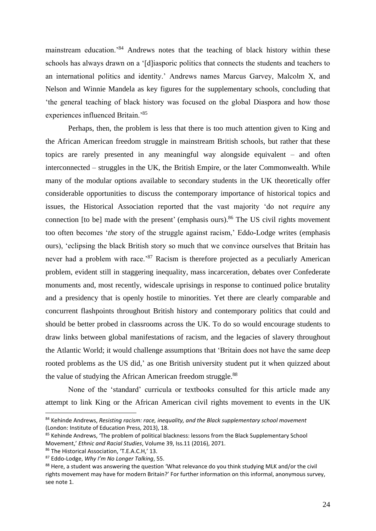mainstream education.'<sup>84</sup> Andrews notes that the teaching of black history within these schools has always drawn on a '[d]iasporic politics that connects the students and teachers to an international politics and identity.' Andrews names Marcus Garvey, Malcolm X, and Nelson and Winnie Mandela as key figures for the supplementary schools, concluding that 'the general teaching of black history was focused on the global Diaspora and how those experiences influenced Britain.'<sup>85</sup>

Perhaps, then, the problem is less that there is too much attention given to King and the African American freedom struggle in mainstream British schools, but rather that these topics are rarely presented in any meaningful way alongside equivalent – and often interconnected – struggles in the UK, the British Empire, or the later Commonwealth. While many of the modular options available to secondary students in the UK theoretically offer considerable opportunities to discuss the contemporary importance of historical topics and issues, the Historical Association reported that the vast majority 'do not *require* any connection [to be] made with the present' (emphasis ours).<sup>86</sup> The US civil rights movement too often becomes '*the* story of the struggle against racism,' Eddo-Lodge writes (emphasis ours), 'eclipsing the black British story so much that we convince ourselves that Britain has never had a problem with race.<sup>87</sup> Racism is therefore projected as a peculiarly American problem, evident still in staggering inequality, mass incarceration, debates over Confederate monuments and, most recently, widescale uprisings in response to continued police brutality and a presidency that is openly hostile to minorities. Yet there are clearly comparable and concurrent flashpoints throughout British history and contemporary politics that could and should be better probed in classrooms across the UK. To do so would encourage students to draw links between global manifestations of racism, and the legacies of slavery throughout the Atlantic World; it would challenge assumptions that 'Britain does not have the same deep rooted problems as the US did,' as one British university student put it when quizzed about the value of studying the African American freedom struggle.<sup>88</sup>

None of the 'standard' curricula or textbooks consulted for this article made any attempt to link King or the African American civil rights movement to events in the UK

<sup>84</sup> Kehinde Andrews, *Resisting racism: race, inequality, and the Black supplementary school movement* (London: Institute of Education Press, 2013), 18.

<sup>&</sup>lt;sup>85</sup> Kehinde Andrews, 'The problem of political blackness: lessons from the Black Supplementary School Movement,' *Ethnic and Racial Studies*, Volume 39, Iss.11 (2016), 2071.

<sup>86</sup> The Historical Association, 'T.E.A.C.H,' 13.

<sup>87</sup> Eddo-Lodge, *Why I'm No Longer Talking*, 55.

<sup>88</sup> Here, a student was answering the question 'What relevance do you think studying MLK and/or the civil rights movement may have for modern Britain?' For further information on this informal, anonymous survey, see note 1.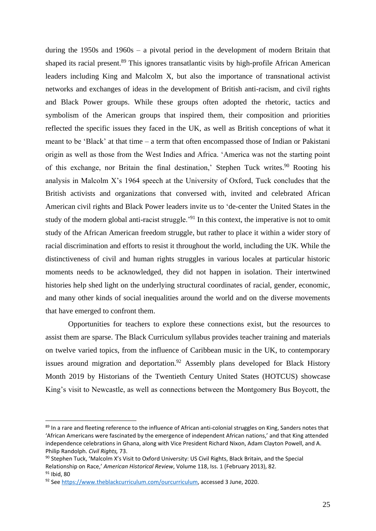during the 1950s and 1960s – a pivotal period in the development of modern Britain that shaped its racial present.<sup>89</sup> This ignores transatlantic visits by high-profile African American leaders including King and Malcolm X, but also the importance of transnational activist networks and exchanges of ideas in the development of British anti-racism, and civil rights and Black Power groups. While these groups often adopted the rhetoric, tactics and symbolism of the American groups that inspired them, their composition and priorities reflected the specific issues they faced in the UK, as well as British conceptions of what it meant to be 'Black' at that time – a term that often encompassed those of Indian or Pakistani origin as well as those from the West Indies and Africa. 'America was not the starting point of this exchange, nor Britain the final destination,' Stephen Tuck writes.<sup>90</sup> Rooting his analysis in Malcolm X's 1964 speech at the University of Oxford, Tuck concludes that the British activists and organizations that conversed with, invited and celebrated African American civil rights and Black Power leaders invite us to 'de-center the United States in the study of the modern global anti-racist struggle.<sup>'91</sup> In this context, the imperative is not to omit study of the African American freedom struggle, but rather to place it within a wider story of racial discrimination and efforts to resist it throughout the world, including the UK. While the distinctiveness of civil and human rights struggles in various locales at particular historic moments needs to be acknowledged, they did not happen in isolation. Their intertwined histories help shed light on the underlying structural coordinates of racial, gender, economic, and many other kinds of social inequalities around the world and on the diverse movements that have emerged to confront them.

Opportunities for teachers to explore these connections exist, but the resources to assist them are sparse. The Black Curriculum syllabus provides teacher training and materials on twelve varied topics, from the influence of Caribbean music in the UK, to contemporary issues around migration and deportation.<sup>92</sup> Assembly plans developed for Black History Month 2019 by Historians of the Twentieth Century United States (HOTCUS) showcase King's visit to Newcastle, as well as connections between the Montgomery Bus Boycott, the

<sup>89</sup> In a rare and fleeting reference to the influence of African anti-colonial struggles on King, Sanders notes that 'African Americans were fascinated by the emergence of independent African nations,' and that King attended independence celebrations in Ghana, along with Vice President Richard Nixon, Adam Clayton Powell, and A. Philip Randolph. *Civil Rights,* 73.

<sup>90</sup> Stephen Tuck, 'Malcolm X's Visit to Oxford University: US Civil Rights, Black Britain, and the Special Relationship on Race,' *American Historical Review*, Volume 118, Iss. 1 (February 2013), 82. <sup>91</sup> Ibid, 80

<sup>92</sup> Se[e https://www.theblackcurriculum.com/ourcurriculum,](https://www.theblackcurriculum.com/ourcurriculum) accessed 3 June, 2020.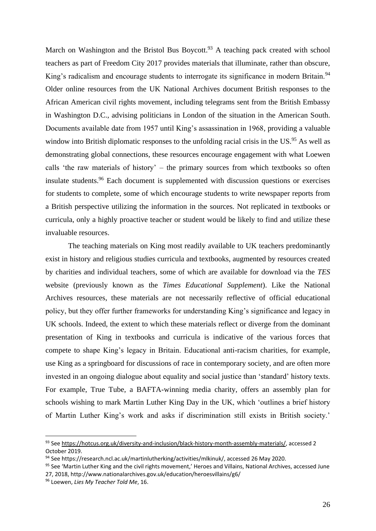March on Washington and the Bristol Bus Boycott.<sup>93</sup> A teaching pack created with school teachers as part of Freedom City 2017 provides materials that illuminate, rather than obscure, King's radicalism and encourage students to interrogate its significance in modern Britain.<sup>94</sup> Older online resources from the UK National Archives document British responses to the African American civil rights movement, including telegrams sent from the British Embassy in Washington D.C., advising politicians in London of the situation in the American South. Documents available date from 1957 until King's assassination in 1968, providing a valuable window into British diplomatic responses to the unfolding racial crisis in the US.<sup>95</sup> As well as demonstrating global connections, these resources encourage engagement with what Loewen calls 'the raw materials of history' – the primary sources from which textbooks so often insulate students.<sup>96</sup> Each document is supplemented with discussion questions or exercises for students to complete, some of which encourage students to write newspaper reports from a British perspective utilizing the information in the sources. Not replicated in textbooks or curricula, only a highly proactive teacher or student would be likely to find and utilize these invaluable resources.

The teaching materials on King most readily available to UK teachers predominantly exist in history and religious studies curricula and textbooks, augmented by resources created by charities and individual teachers, some of which are available for download via the *TES* website (previously known as the *Times Educational Supplement*). Like the National Archives resources, these materials are not necessarily reflective of official educational policy, but they offer further frameworks for understanding King's significance and legacy in UK schools. Indeed, the extent to which these materials reflect or diverge from the dominant presentation of King in textbooks and curricula is indicative of the various forces that compete to shape King's legacy in Britain. Educational anti-racism charities, for example, use King as a springboard for discussions of race in contemporary society, and are often more invested in an ongoing dialogue about equality and social justice than 'standard' history texts. For example, True Tube, a BAFTA-winning media charity, offers an assembly plan for schools wishing to mark Martin Luther King Day in the UK, which 'outlines a brief history of Martin Luther King's work and asks if discrimination still exists in British society.'

<sup>93</sup> Se[e https://hotcus.org.uk/diversity-and-inclusion/black-history-month-assembly-materials/,](https://hotcus.org.uk/diversity-and-inclusion/black-history-month-assembly-materials/) accessed 2 October 2019.

<sup>94</sup> See https://research.ncl.ac.uk/martinlutherking/activities/mlkinuk/, accessed 26 May 2020.

<sup>&</sup>lt;sup>95</sup> See 'Martin Luther King and the civil rights movement,' Heroes and Villains, National Archives, accessed June 27, 2018, http://www.nationalarchives.gov.uk/education/heroesvillains/g6/

<sup>96</sup> Loewen, *Lies My Teacher Told Me*, 16.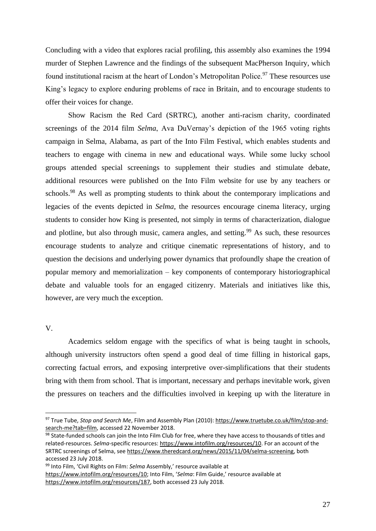Concluding with a video that explores racial profiling, this assembly also examines the 1994 murder of Stephen Lawrence and the findings of the subsequent MacPherson Inquiry, which found institutional racism at the heart of London's Metropolitan Police.<sup>97</sup> These resources use King's legacy to explore enduring problems of race in Britain, and to encourage students to offer their voices for change.

Show Racism the Red Card (SRTRC), another anti-racism charity, coordinated screenings of the 2014 film *Selma*, Ava DuVernay's depiction of the 1965 voting rights campaign in Selma, Alabama, as part of the Into Film Festival, which enables students and teachers to engage with cinema in new and educational ways. While some lucky school groups attended special screenings to supplement their studies and stimulate debate, additional resources were published on the Into Film website for use by any teachers or schools.<sup>98</sup> As well as prompting students to think about the contemporary implications and legacies of the events depicted in *Selma*, the resources encourage cinema literacy, urging students to consider how King is presented, not simply in terms of characterization, dialogue and plotline, but also through music, camera angles, and setting.<sup>99</sup> As such, these resources encourage students to analyze and critique cinematic representations of history, and to question the decisions and underlying power dynamics that profoundly shape the creation of popular memory and memorialization – key components of contemporary historiographical debate and valuable tools for an engaged citizenry. Materials and initiatives like this, however, are very much the exception.

V.

Academics seldom engage with the specifics of what is being taught in schools, although university instructors often spend a good deal of time filling in historical gaps, correcting factual errors, and exposing interpretive over-simplifications that their students bring with them from school. That is important, necessary and perhaps inevitable work, given the pressures on teachers and the difficulties involved in keeping up with the literature in

<sup>97</sup> True Tube, *Stop and Search Me*, Film and Assembly Plan (2010)[: https://www.truetube.co.uk/film/stop-and](https://www.truetube.co.uk/film/stop-and-search-me?tab=film)[search-me?tab=film,](https://www.truetube.co.uk/film/stop-and-search-me?tab=film) accessed 22 November 2018.

<sup>98</sup> State-funded schools can join the Into Film Club for free, where they have access to thousands of titles and related-resources. *Selma*-specific resources: [https://www.intofilm.org/resources/10.](https://www.intofilm.org/resources/10) For an account of the SRTRC screenings of Selma, se[e https://www.theredcard.org/news/2015/11/04/selma-screening,](https://www.theredcard.org/news/2015/11/04/selma-screening) both accessed 23 July 2018.

<sup>99</sup> Into Film, 'Civil Rights on Film: *Selma* Assembly,' resource available at [https://www.intofilm.org/resources/10;](https://www.intofilm.org/resources/10) Into Film, '*Selma*: Film Guide,' resource available at [https://www.intofilm.org/resources/187,](https://www.intofilm.org/resources/187) both accessed 23 July 2018.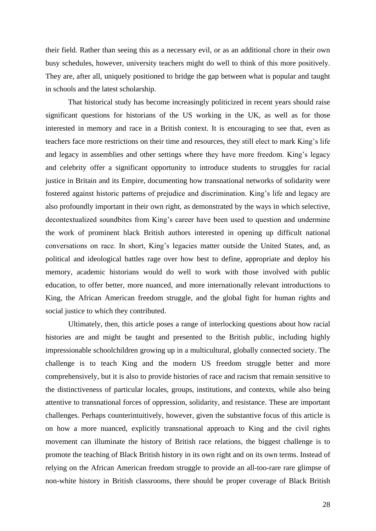their field. Rather than seeing this as a necessary evil, or as an additional chore in their own busy schedules, however, university teachers might do well to think of this more positively. They are, after all, uniquely positioned to bridge the gap between what is popular and taught in schools and the latest scholarship.

That historical study has become increasingly politicized in recent years should raise significant questions for historians of the US working in the UK, as well as for those interested in memory and race in a British context. It is encouraging to see that, even as teachers face more restrictions on their time and resources, they still elect to mark King's life and legacy in assemblies and other settings where they have more freedom. King's legacy and celebrity offer a significant opportunity to introduce students to struggles for racial justice in Britain and its Empire, documenting how transnational networks of solidarity were fostered against historic patterns of prejudice and discrimination. King's life and legacy are also profoundly important in their own right, as demonstrated by the ways in which selective, decontextualized soundbites from King's career have been used to question and undermine the work of prominent black British authors interested in opening up difficult national conversations on race. In short, King's legacies matter outside the United States, and, as political and ideological battles rage over how best to define, appropriate and deploy his memory, academic historians would do well to work with those involved with public education, to offer better, more nuanced, and more internationally relevant introductions to King, the African American freedom struggle, and the global fight for human rights and social justice to which they contributed.

Ultimately, then, this article poses a range of interlocking questions about how racial histories are and might be taught and presented to the British public, including highly impressionable schoolchildren growing up in a multicultural, globally connected society. The challenge is to teach King and the modern US freedom struggle better and more comprehensively, but it is also to provide histories of race and racism that remain sensitive to the distinctiveness of particular locales, groups, institutions, and contexts, while also being attentive to transnational forces of oppression, solidarity, and resistance. These are important challenges. Perhaps counterintuitively, however, given the substantive focus of this article is on how a more nuanced, explicitly transnational approach to King and the civil rights movement can illuminate the history of British race relations, the biggest challenge is to promote the teaching of Black British history in its own right and on its own terms. Instead of relying on the African American freedom struggle to provide an all-too-rare rare glimpse of non-white history in British classrooms, there should be proper coverage of Black British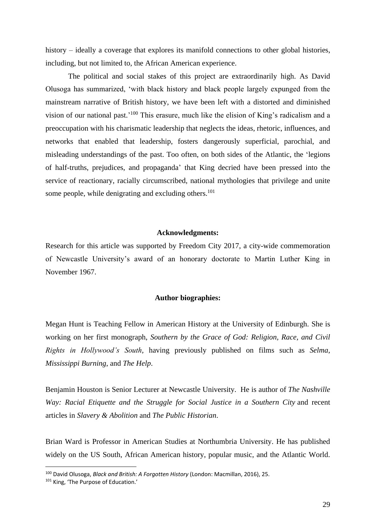history – ideally a coverage that explores its manifold connections to other global histories, including, but not limited to, the African American experience.

The political and social stakes of this project are extraordinarily high. As David Olusoga has summarized, 'with black history and black people largely expunged from the mainstream narrative of British history, we have been left with a distorted and diminished vision of our national past.'<sup>100</sup> This erasure, much like the elision of King's radicalism and a preoccupation with his charismatic leadership that neglects the ideas, rhetoric, influences, and networks that enabled that leadership, fosters dangerously superficial, parochial, and misleading understandings of the past. Too often, on both sides of the Atlantic, the 'legions of half-truths, prejudices, and propaganda' that King decried have been pressed into the service of reactionary, racially circumscribed, national mythologies that privilege and unite some people, while denigrating and excluding others.<sup>101</sup>

### **Acknowledgments:**

Research for this article was supported by Freedom City 2017, a city-wide commemoration of Newcastle University's award of an honorary doctorate to Martin Luther King in November 1967.

### **Author biographies:**

Megan Hunt is Teaching Fellow in American History at the University of Edinburgh. She is working on her first monograph, *Southern by the Grace of God: Religion, Race, and Civil Rights in Hollywood's South,* having previously published on films such as *Selma*, *Mississippi Burning*, and *The Help*.

Benjamin Houston is Senior Lecturer at Newcastle University. He is author of *The Nashville Way: Racial Etiquette and the Struggle for Social Justice in a Southern City* and recent articles in *Slavery & Abolition* and *The Public Historian*.

Brian Ward is Professor in American Studies at Northumbria University. He has published widely on the US South, African American history, popular music, and the Atlantic World.

<sup>100</sup> David Olusoga, *Black and British: A Forgotten History* (London: Macmillan, 2016), 25.

<sup>101</sup> King, 'The Purpose of Education.'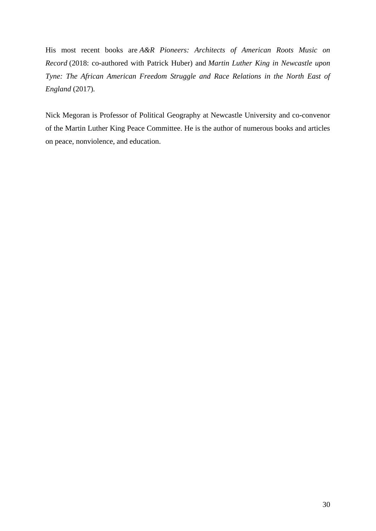His most recent books are *A&R Pioneers: Architects of American Roots Music on Record* (2018: co-authored with Patrick Huber) and *Martin Luther King in Newcastle upon Tyne: The African American Freedom Struggle and Race Relations in the North East of England* (2017)*.*

Nick Megoran is Professor of Political Geography at Newcastle University and co-convenor of the Martin Luther King Peace Committee. He is the author of numerous books and articles on peace, nonviolence, and education.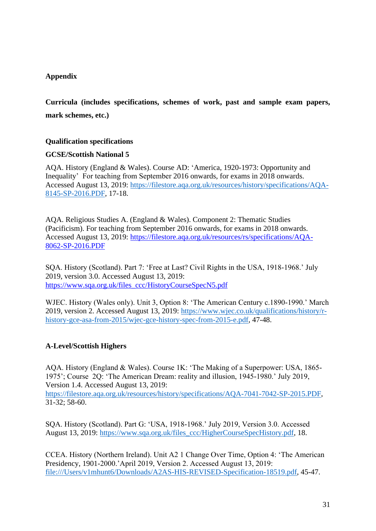# **Appendix**

**Curricula (includes specifications, schemes of work, past and sample exam papers, mark schemes, etc.)**

# **Qualification specifications**

## **GCSE/Scottish National 5**

AQA. History (England & Wales). Course AD: 'America, 1920-1973: Opportunity and Inequality' For teaching from September 2016 onwards, for exams in 2018 onwards. Accessed August 13, 2019: [https://filestore.aqa.org.uk/resources/history/specifications/AQA-](https://filestore.aqa.org.uk/resources/history/specifications/AQA-8145-SP-2016.PDF)[8145-SP-2016.PDF,](https://filestore.aqa.org.uk/resources/history/specifications/AQA-8145-SP-2016.PDF) 17-18.

AQA. Religious Studies A. (England & Wales). Component 2: Thematic Studies (Pacificism). For teaching from September 2016 onwards, for exams in 2018 onwards. Accessed August 13, 2019: [https://filestore.aqa.org.uk/resources/rs/specifications/AQA-](https://filestore.aqa.org.uk/resources/rs/specifications/AQA-8062-SP-2016.PDF)[8062-SP-2016.PDF](https://filestore.aqa.org.uk/resources/rs/specifications/AQA-8062-SP-2016.PDF)

SQA. History (Scotland). Part 7: 'Free at Last? Civil Rights in the USA, 1918-1968.' July 2019, version 3.0. Accessed August 13, 2019: [https://www.sqa.org.uk/files\\_ccc/HistoryCourseSpecN5.pdf](https://www.sqa.org.uk/files_ccc/HistoryCourseSpecN5.pdf)

WJEC. History (Wales only). Unit 3, Option 8: 'The American Century c.1890-1990.' March 2019, version 2. Accessed August 13, 2019: [https://www.wjec.co.uk/qualifications/history/r](https://www.wjec.co.uk/qualifications/history/r-history-gce-asa-from-2015/wjec-gce-history-spec-from-2015-e.pdf)[history-gce-asa-from-2015/wjec-gce-history-spec-from-2015-e.pdf,](https://www.wjec.co.uk/qualifications/history/r-history-gce-asa-from-2015/wjec-gce-history-spec-from-2015-e.pdf) 47-48.

# **A-Level/Scottish Highers**

AQA. History (England & Wales). Course 1K: 'The Making of a Superpower: USA, 1865- 1975'; Course 2Q: 'The American Dream: reality and illusion, 1945-1980.' July 2019, Version 1.4. Accessed August 13, 2019: [https://filestore.aqa.org.uk/resources/history/specifications/AQA-7041-7042-SP-2015.PDF,](https://filestore.aqa.org.uk/resources/history/specifications/AQA-7041-7042-SP-2015.PDF) 31-32; 58-60.

SQA. History (Scotland). Part G: 'USA, 1918-1968.' July 2019, Version 3.0. Accessed August 13, 2019: [https://www.sqa.org.uk/files\\_ccc/HigherCourseSpecHistory.pdf,](https://www.sqa.org.uk/files_ccc/HigherCourseSpecHistory.pdf) 18.

CCEA. History (Northern Ireland). Unit A2 1 Change Over Time, Option 4: 'The American Presidency, 1901-2000.'April 2019, Version 2. Accessed August 13, 2019: [file:///Users/v1mhunt6/Downloads/A2AS-HIS-REVISED-Specification-18519.pdf,](file:///C:/Users/v1mhunt6/Downloads/A2AS-HIS-REVISED-Specification-18519.pdf) 45-47.